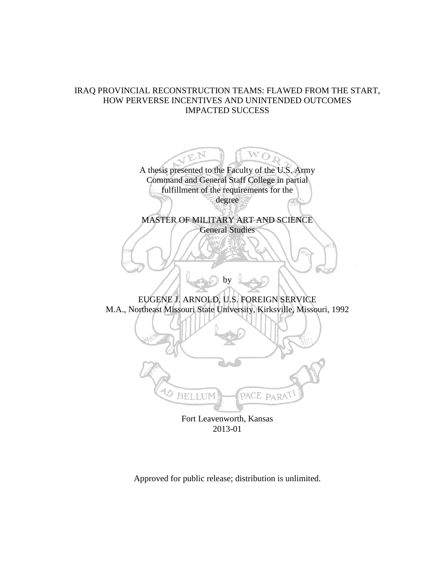## IRAQ PROVINCIAL RECONSTRUCTION TEAMS: FLAWED FROM THE START, HOW PERVERSE INCENTIVES AND UNINTENDED OUTCOMES IMPACTED SUCCESS

A thesis presented to the Faculty of the U.S. Army Command and General Staff College in partial fulfillment of the requirements for the degree

 $\bigcap$ 

MASTER OF MILITARY ART AND SCIENCE General Studies

EUGENE J. ARNOLD, U.S. FOREIGN SERVICE M.A., Northeast Missouri State University, Kirksville, Missouri, 1992

by



Fort Leavenworth, Kansas 2013-01

Approved for public release; distribution is unlimited.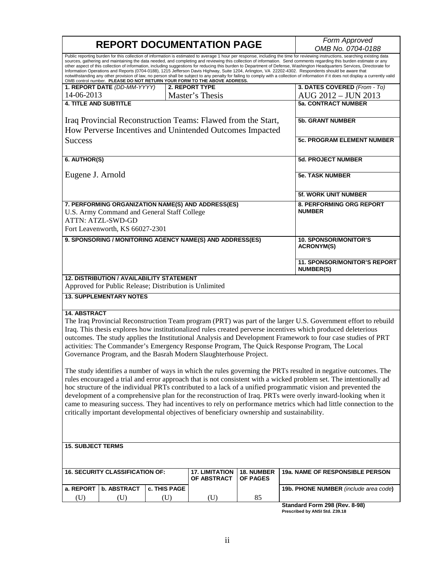|                                                                                                                                                                                                                                                                                                                                                                                                                                                                                                                                                                                                                                                                                                                                                                                                                                                                                                                                                                                                                                                                                                                                                                                                                                        | <b>REPORT DOCUMENTATION PAGE</b>       | Form Approved<br>OMB No. 0704-0188                                                                         |                                                                                                                          |                                      |                                                                 |  |
|----------------------------------------------------------------------------------------------------------------------------------------------------------------------------------------------------------------------------------------------------------------------------------------------------------------------------------------------------------------------------------------------------------------------------------------------------------------------------------------------------------------------------------------------------------------------------------------------------------------------------------------------------------------------------------------------------------------------------------------------------------------------------------------------------------------------------------------------------------------------------------------------------------------------------------------------------------------------------------------------------------------------------------------------------------------------------------------------------------------------------------------------------------------------------------------------------------------------------------------|----------------------------------------|------------------------------------------------------------------------------------------------------------|--------------------------------------------------------------------------------------------------------------------------|--------------------------------------|-----------------------------------------------------------------|--|
| Public reporting burden for this collection of information is estimated to average 1 hour per response, including the time for reviewing instructions, searching existing data<br>sources, gathering and maintaining the data needed, and completing and reviewing this collection of information. Send comments regarding this burden estimate or any<br>other aspect of this collection of information, including suggestions for reducing this burden to Department of Defense, Washington Headquarters Services, Directorate for<br>Information Operations and Reports (0704-0188), 1215 Jefferson Davis Highway, Suite 1204, Arlington, VA 22202-4302. Respondents should be aware that<br>notwithstanding any other provision of law, no person shall be subject to any penalty for failing to comply with a collection of information if it does not display a currently valid<br>OMB control number. PLEASE DO NOT RETURN YOUR FORM TO THE ABOVE ADDRESS.                                                                                                                                                                                                                                                                      |                                        |                                                                                                            |                                                                                                                          |                                      |                                                                 |  |
|                                                                                                                                                                                                                                                                                                                                                                                                                                                                                                                                                                                                                                                                                                                                                                                                                                                                                                                                                                                                                                                                                                                                                                                                                                        | 1. REPORT DATE (DD-MM-YYYY)            |                                                                                                            | <b>2. REPORT TYPE</b>                                                                                                    |                                      | 3. DATES COVERED (From - To)                                    |  |
| 14-06-2013                                                                                                                                                                                                                                                                                                                                                                                                                                                                                                                                                                                                                                                                                                                                                                                                                                                                                                                                                                                                                                                                                                                                                                                                                             |                                        |                                                                                                            | Master's Thesis                                                                                                          |                                      | AUG 2012 - JUN 2013                                             |  |
| <b>4. TITLE AND SUBTITLE</b>                                                                                                                                                                                                                                                                                                                                                                                                                                                                                                                                                                                                                                                                                                                                                                                                                                                                                                                                                                                                                                                                                                                                                                                                           |                                        |                                                                                                            |                                                                                                                          |                                      | <b>5a. CONTRACT NUMBER</b>                                      |  |
|                                                                                                                                                                                                                                                                                                                                                                                                                                                                                                                                                                                                                                                                                                                                                                                                                                                                                                                                                                                                                                                                                                                                                                                                                                        |                                        |                                                                                                            | Iraq Provincial Reconstruction Teams: Flawed from the Start,<br>How Perverse Incentives and Unintended Outcomes Impacted |                                      | <b>5b. GRANT NUMBER</b>                                         |  |
|                                                                                                                                                                                                                                                                                                                                                                                                                                                                                                                                                                                                                                                                                                                                                                                                                                                                                                                                                                                                                                                                                                                                                                                                                                        |                                        |                                                                                                            |                                                                                                                          |                                      |                                                                 |  |
| <b>Success</b>                                                                                                                                                                                                                                                                                                                                                                                                                                                                                                                                                                                                                                                                                                                                                                                                                                                                                                                                                                                                                                                                                                                                                                                                                         |                                        |                                                                                                            |                                                                                                                          |                                      | <b>5c. PROGRAM ELEMENT NUMBER</b>                               |  |
| 6. AUTHOR(S)                                                                                                                                                                                                                                                                                                                                                                                                                                                                                                                                                                                                                                                                                                                                                                                                                                                                                                                                                                                                                                                                                                                                                                                                                           |                                        |                                                                                                            |                                                                                                                          |                                      | <b>5d. PROJECT NUMBER</b>                                       |  |
| Eugene J. Arnold                                                                                                                                                                                                                                                                                                                                                                                                                                                                                                                                                                                                                                                                                                                                                                                                                                                                                                                                                                                                                                                                                                                                                                                                                       |                                        |                                                                                                            |                                                                                                                          |                                      | <b>5e. TASK NUMBER</b>                                          |  |
|                                                                                                                                                                                                                                                                                                                                                                                                                                                                                                                                                                                                                                                                                                                                                                                                                                                                                                                                                                                                                                                                                                                                                                                                                                        |                                        |                                                                                                            |                                                                                                                          |                                      | 5f. WORK UNIT NUMBER                                            |  |
| 7. PERFORMING ORGANIZATION NAME(S) AND ADDRESS(ES)<br>U.S. Army Command and General Staff College<br><b>ATTN: ATZL-SWD-GD</b><br>Fort Leavenworth, KS 66027-2301                                                                                                                                                                                                                                                                                                                                                                                                                                                                                                                                                                                                                                                                                                                                                                                                                                                                                                                                                                                                                                                                       |                                        |                                                                                                            |                                                                                                                          |                                      | 8. PERFORMING ORG REPORT<br><b>NUMBER</b>                       |  |
| 9. SPONSORING / MONITORING AGENCY NAME(S) AND ADDRESS(ES)                                                                                                                                                                                                                                                                                                                                                                                                                                                                                                                                                                                                                                                                                                                                                                                                                                                                                                                                                                                                                                                                                                                                                                              |                                        |                                                                                                            |                                                                                                                          |                                      | <b>10. SPONSOR/MONITOR'S</b><br><b>ACRONYM(S)</b>               |  |
|                                                                                                                                                                                                                                                                                                                                                                                                                                                                                                                                                                                                                                                                                                                                                                                                                                                                                                                                                                                                                                                                                                                                                                                                                                        |                                        |                                                                                                            |                                                                                                                          |                                      | <b>11. SPONSOR/MONITOR'S REPORT</b><br><b>NUMBER(S)</b>         |  |
|                                                                                                                                                                                                                                                                                                                                                                                                                                                                                                                                                                                                                                                                                                                                                                                                                                                                                                                                                                                                                                                                                                                                                                                                                                        |                                        | <b>12. DISTRIBUTION / AVAILABILITY STATEMENT</b><br>Approved for Public Release; Distribution is Unlimited |                                                                                                                          |                                      |                                                                 |  |
|                                                                                                                                                                                                                                                                                                                                                                                                                                                                                                                                                                                                                                                                                                                                                                                                                                                                                                                                                                                                                                                                                                                                                                                                                                        | <b>13. SUPPLEMENTARY NOTES</b>         |                                                                                                            |                                                                                                                          |                                      |                                                                 |  |
| <b>14. ABSTRACT</b><br>The Iraq Provincial Reconstruction Team program (PRT) was part of the larger U.S. Government effort to rebuild<br>Iraq. This thesis explores how institutionalized rules created perverse incentives which produced deleterious<br>outcomes. The study applies the Institutional Analysis and Development Framework to four case studies of PRT<br>activities: The Commander's Emergency Response Program, The Quick Response Program, The Local<br>Governance Program, and the Basrah Modern Slaughterhouse Project.<br>The study identifies a number of ways in which the rules governing the PRTs resulted in negative outcomes. The<br>rules encouraged a trial and error approach that is not consistent with a wicked problem set. The intentionally ad<br>hoc structure of the individual PRTs contributed to a lack of a unified programmatic vision and prevented the<br>development of a comprehensive plan for the reconstruction of Iraq. PRTs were overly inward-looking when it<br>came to measuring success. They had incentives to rely on performance metrics which had little connection to the<br>critically important developmental objectives of beneficiary ownership and sustainability. |                                        |                                                                                                            |                                                                                                                          |                                      |                                                                 |  |
| <b>15. SUBJECT TERMS</b>                                                                                                                                                                                                                                                                                                                                                                                                                                                                                                                                                                                                                                                                                                                                                                                                                                                                                                                                                                                                                                                                                                                                                                                                               |                                        |                                                                                                            |                                                                                                                          |                                      |                                                                 |  |
|                                                                                                                                                                                                                                                                                                                                                                                                                                                                                                                                                                                                                                                                                                                                                                                                                                                                                                                                                                                                                                                                                                                                                                                                                                        | <b>16. SECURITY CLASSIFICATION OF:</b> |                                                                                                            | <b>17. LIMITATION</b><br>OF ABSTRACT                                                                                     | <b>18. NUMBER</b><br><b>OF PAGES</b> | <b>19a. NAME OF RESPONSIBLE PERSON</b>                          |  |
| a. REPORT                                                                                                                                                                                                                                                                                                                                                                                                                                                                                                                                                                                                                                                                                                                                                                                                                                                                                                                                                                                                                                                                                                                                                                                                                              | b. ABSTRACT                            | c. THIS PAGE                                                                                               |                                                                                                                          |                                      | 19b. PHONE NUMBER (include area code)                           |  |
| (U)                                                                                                                                                                                                                                                                                                                                                                                                                                                                                                                                                                                                                                                                                                                                                                                                                                                                                                                                                                                                                                                                                                                                                                                                                                    | (U)                                    | (U)                                                                                                        | (U)                                                                                                                      | 85                                   |                                                                 |  |
|                                                                                                                                                                                                                                                                                                                                                                                                                                                                                                                                                                                                                                                                                                                                                                                                                                                                                                                                                                                                                                                                                                                                                                                                                                        |                                        |                                                                                                            |                                                                                                                          |                                      | Standard Form 298 (Rev. 8-98)<br>Prescribed by ANSI Std. Z39.18 |  |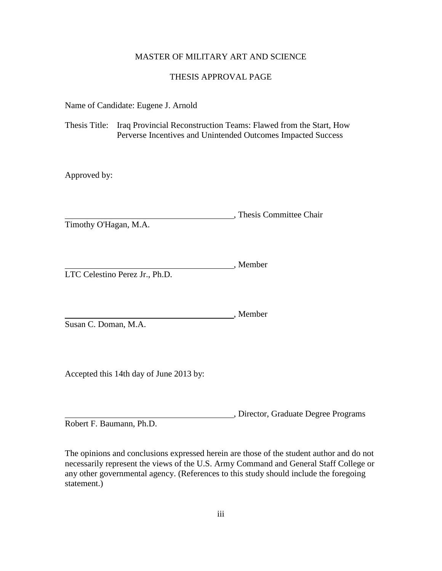## MASTER OF MILITARY ART AND SCIENCE

## THESIS APPROVAL PAGE

Name of Candidate: Eugene J. Arnold

Thesis Title: Iraq Provincial Reconstruction Teams: Flawed from the Start, How Perverse Incentives and Unintended Outcomes Impacted Success

Approved by:

, Thesis Committee Chair Timothy O'Hagan, M.A.

Member LTC Celestino Perez Jr., Ph.D.

Member Susan C. Doman, M.A.

Accepted this 14th day of June 2013 by:

, Director, Graduate Degree Programs Robert F. Baumann, Ph.D.

The opinions and conclusions expressed herein are those of the student author and do not necessarily represent the views of the U.S. Army Command and General Staff College or any other governmental agency. (References to this study should include the foregoing statement.)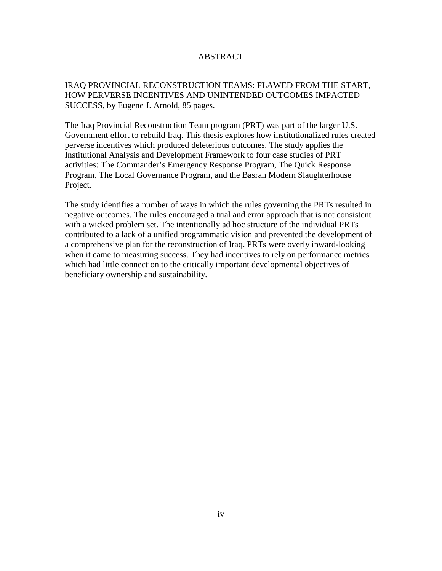## ABSTRACT

IRAQ PROVINCIAL RECONSTRUCTION TEAMS: FLAWED FROM THE START, HOW PERVERSE INCENTIVES AND UNINTENDED OUTCOMES IMPACTED SUCCESS, by Eugene J. Arnold, 85 pages.

The Iraq Provincial Reconstruction Team program (PRT) was part of the larger U.S. Government effort to rebuild Iraq. This thesis explores how institutionalized rules created perverse incentives which produced deleterious outcomes. The study applies the Institutional Analysis and Development Framework to four case studies of PRT activities: The Commander's Emergency Response Program, The Quick Response Program, The Local Governance Program, and the Basrah Modern Slaughterhouse Project.

The study identifies a number of ways in which the rules governing the PRTs resulted in negative outcomes. The rules encouraged a trial and error approach that is not consistent with a wicked problem set. The intentionally ad hoc structure of the individual PRTs contributed to a lack of a unified programmatic vision and prevented the development of a comprehensive plan for the reconstruction of Iraq. PRTs were overly inward-looking when it came to measuring success. They had incentives to rely on performance metrics which had little connection to the critically important developmental objectives of beneficiary ownership and sustainability.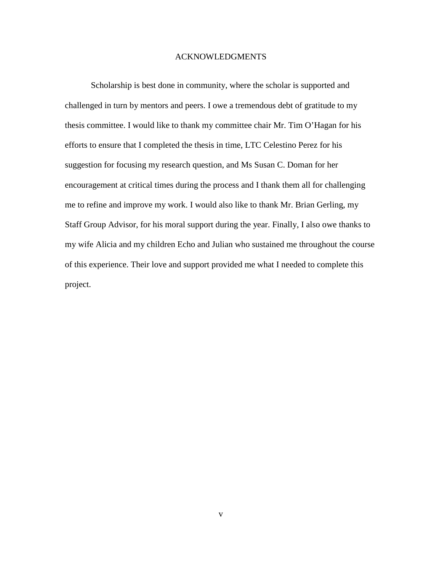### ACKNOWLEDGMENTS

Scholarship is best done in community, where the scholar is supported and challenged in turn by mentors and peers. I owe a tremendous debt of gratitude to my thesis committee. I would like to thank my committee chair Mr. Tim O'Hagan for his efforts to ensure that I completed the thesis in time, LTC Celestino Perez for his suggestion for focusing my research question, and Ms Susan C. Doman for her encouragement at critical times during the process and I thank them all for challenging me to refine and improve my work. I would also like to thank Mr. Brian Gerling, my Staff Group Advisor, for his moral support during the year. Finally, I also owe thanks to my wife Alicia and my children Echo and Julian who sustained me throughout the course of this experience. Their love and support provided me what I needed to complete this project.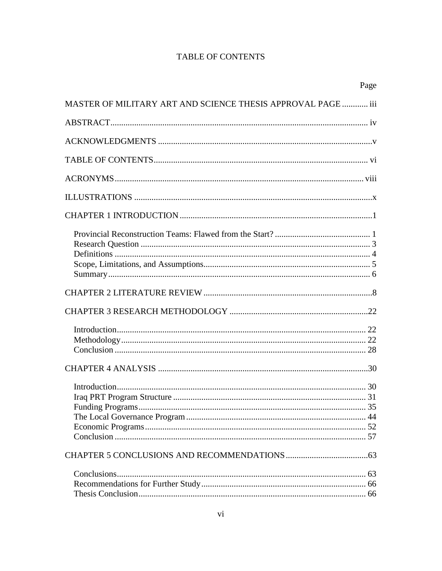## **TABLE OF CONTENTS**

|                                                              | Page |
|--------------------------------------------------------------|------|
| MASTER OF MILITARY ART AND SCIENCE THESIS APPROVAL PAGE  iii |      |
|                                                              |      |
|                                                              |      |
|                                                              |      |
|                                                              |      |
|                                                              |      |
|                                                              |      |
|                                                              |      |
|                                                              |      |
|                                                              |      |
|                                                              |      |
|                                                              |      |
|                                                              |      |
|                                                              |      |
|                                                              |      |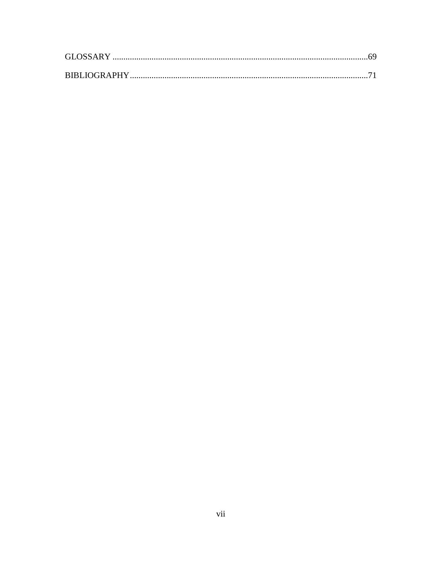| GLOSSARY. |  |
|-----------|--|
|           |  |
|           |  |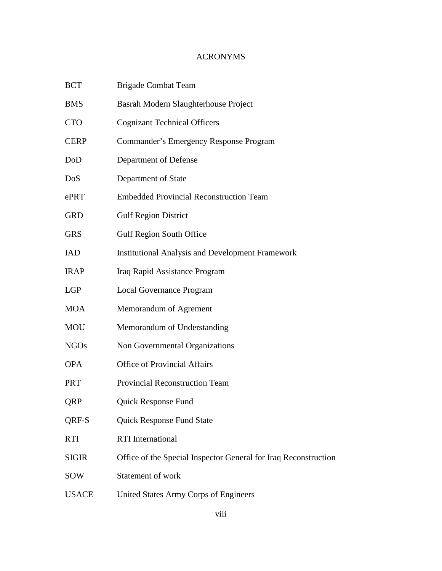# ACRONYMS

| <b>BCT</b>   | <b>Brigade Combat Team</b>                                      |
|--------------|-----------------------------------------------------------------|
| BMS          | Basrah Modern Slaughterhouse Project                            |
| <b>CTO</b>   | <b>Cognizant Technical Officers</b>                             |
| <b>CERP</b>  | <b>Commander's Emergency Response Program</b>                   |
| DoD          | Department of Defense                                           |
| DoS          | Department of State                                             |
| ePRT         | <b>Embedded Provincial Reconstruction Team</b>                  |
| GRD          | <b>Gulf Region District</b>                                     |
| <b>GRS</b>   | <b>Gulf Region South Office</b>                                 |
| IAD          | <b>Institutional Analysis and Development Framework</b>         |
| <b>IRAP</b>  | Iraq Rapid Assistance Program                                   |
| LGP          | <b>Local Governance Program</b>                                 |
| MOA          | Memorandum of Agrement                                          |
| MOU          | Memorandum of Understanding                                     |
| <b>NGOs</b>  | Non Governmental Organizations                                  |
| <b>OPA</b>   | <b>Office of Provincial Affairs</b>                             |
| PRT          | Provincial Reconstruction Team                                  |
| QRP          | Quick Response Fund                                             |
| QRF-S        | <b>Quick Response Fund State</b>                                |
| RTI          | <b>RTI</b> International                                        |
| <b>SIGIR</b> | Office of the Special Inspector General for Iraq Reconstruction |
| SOW          | Statement of work                                               |
| <b>USACE</b> | United States Army Corps of Engineers                           |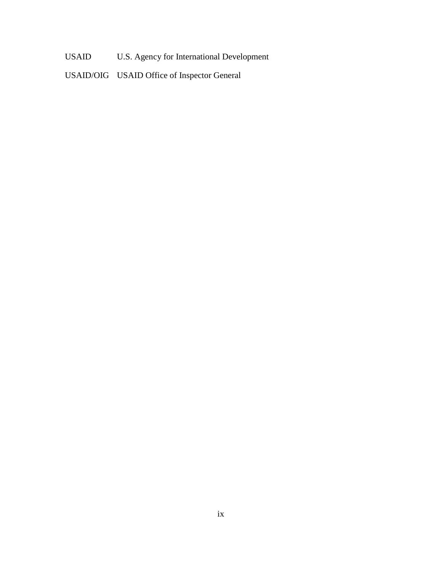USAID U.S. Agency for International Development

USAID/OIG USAID Office of Inspector General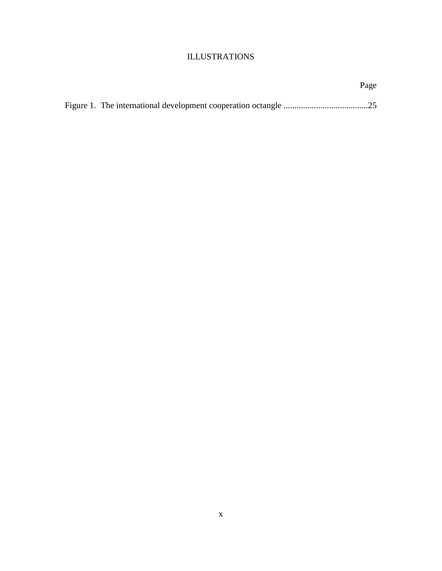## ILLUSTRATIONS

|  | Page |
|--|------|
|  |      |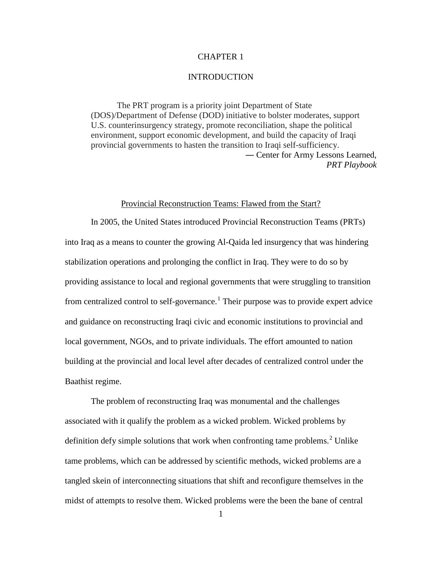### CHAPTER 1

#### **INTRODUCTION**

The PRT program is a priority joint Department of State (DOS)/Department of Defense (DOD) initiative to bolster moderates, support U.S. counterinsurgency strategy, promote reconciliation, shape the political environment, support economic development, and build the capacity of Iraqi provincial governments to hasten the transition to Iraqi self-sufficiency. ― Center for Army Lessons Learned, *PRT Playbook*

### Provincial Reconstruction Teams: Flawed from the Start?

In 2005, the United States introduced Provincial Reconstruction Teams (PRTs) into Iraq as a means to counter the growing Al-Qaida led insurgency that was hindering stabilization operations and prolonging the conflict in Iraq. They were to do so by providing assistance to local and regional governments that were struggling to transition from centralized control to self-governance.<sup>[1](#page-16-0)</sup> Their purpose was to provide expert advice and guidance on reconstructing Iraqi civic and economic institutions to provincial and local government, NGOs, and to private individuals. The effort amounted to nation building at the provincial and local level after decades of centralized control under the Baathist regime.

The problem of reconstructing Iraq was monumental and the challenges associated with it qualify the problem as a wicked problem. Wicked problems by definition defy simple solutions that work when confronting tame problems. $2$  Unlike tame problems, which can be addressed by scientific methods, wicked problems are a tangled skein of interconnecting situations that shift and reconfigure themselves in the midst of attempts to resolve them. Wicked problems were the been the bane of central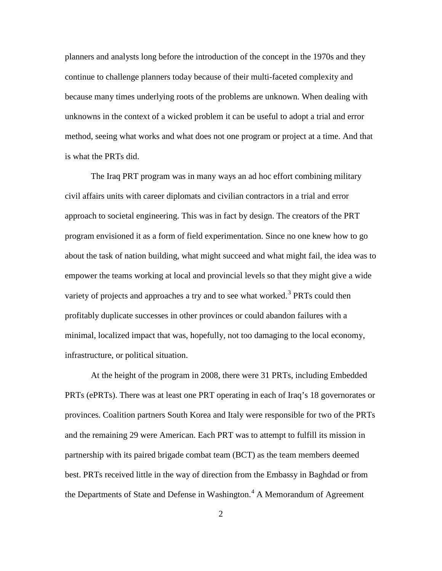planners and analysts long before the introduction of the concept in the 1970s and they continue to challenge planners today because of their multi-faceted complexity and because many times underlying roots of the problems are unknown. When dealing with unknowns in the context of a wicked problem it can be useful to adopt a trial and error method, seeing what works and what does not one program or project at a time. And that is what the PRTs did.

The Iraq PRT program was in many ways an ad hoc effort combining military civil affairs units with career diplomats and civilian contractors in a trial and error approach to societal engineering. This was in fact by design. The creators of the PRT program envisioned it as a form of field experimentation. Since no one knew how to go about the task of nation building, what might succeed and what might fail, the idea was to empower the teams working at local and provincial levels so that they might give a wide variety of projects and approaches a try and to see what worked.<sup>[3](#page-17-0)</sup> PRTs could then profitably duplicate successes in other provinces or could abandon failures with a minimal, localized impact that was, hopefully, not too damaging to the local economy, infrastructure, or political situation.

At the height of the program in 2008, there were 31 PRTs, including Embedded PRTs (ePRTs). There was at least one PRT operating in each of Iraq's 18 governorates or provinces. Coalition partners South Korea and Italy were responsible for two of the PRTs and the remaining 29 were American. Each PRT was to attempt to fulfill its mission in partnership with its paired brigade combat team (BCT) as the team members deemed best. PRTs received little in the way of direction from the Embassy in Baghdad or from the Departments of State and Defense in Washington.<sup>[4](#page-17-1)</sup> A Memorandum of Agreement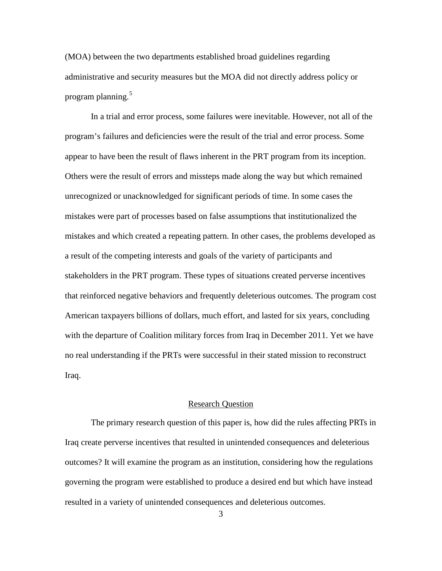(MOA) between the two departments established broad guidelines regarding administrative and security measures but the MOA did not directly address policy or program planning.<sup>[5](#page-18-0)</sup>

In a trial and error process, some failures were inevitable. However, not all of the program's failures and deficiencies were the result of the trial and error process. Some appear to have been the result of flaws inherent in the PRT program from its inception. Others were the result of errors and missteps made along the way but which remained unrecognized or unacknowledged for significant periods of time. In some cases the mistakes were part of processes based on false assumptions that institutionalized the mistakes and which created a repeating pattern. In other cases, the problems developed as a result of the competing interests and goals of the variety of participants and stakeholders in the PRT program. These types of situations created perverse incentives that reinforced negative behaviors and frequently deleterious outcomes. The program cost American taxpayers billions of dollars, much effort, and lasted for six years, concluding with the departure of Coalition military forces from Iraq in December 2011. Yet we have no real understanding if the PRTs were successful in their stated mission to reconstruct Iraq.

#### Research Question

The primary research question of this paper is, how did the rules affecting PRTs in Iraq create perverse incentives that resulted in unintended consequences and deleterious outcomes? It will examine the program as an institution, considering how the regulations governing the program were established to produce a desired end but which have instead resulted in a variety of unintended consequences and deleterious outcomes.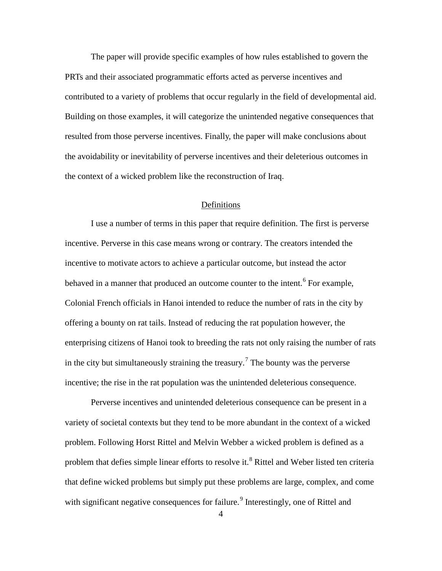The paper will provide specific examples of how rules established to govern the PRTs and their associated programmatic efforts acted as perverse incentives and contributed to a variety of problems that occur regularly in the field of developmental aid. Building on those examples, it will categorize the unintended negative consequences that resulted from those perverse incentives. Finally, the paper will make conclusions about the avoidability or inevitability of perverse incentives and their deleterious outcomes in the context of a wicked problem like the reconstruction of Iraq.

#### Definitions

I use a number of terms in this paper that require definition. The first is perverse incentive. Perverse in this case means wrong or contrary. The creators intended the incentive to motivate actors to achieve a particular outcome, but instead the actor behaved in a manner that produced an outcome counter to the intent.<sup>[6](#page-18-1)</sup> For example, Colonial French officials in Hanoi intended to reduce the number of rats in the city by offering a bounty on rat tails. Instead of reducing the rat population however, the enterprising citizens of Hanoi took to breeding the rats not only raising the number of rats in the city but simultaneously straining the treasury.<sup>[7](#page-18-2)</sup> The bounty was the perverse incentive; the rise in the rat population was the unintended deleterious consequence.

Perverse incentives and unintended deleterious consequence can be present in a variety of societal contexts but they tend to be more abundant in the context of a wicked problem. Following Horst Rittel and Melvin Webber a wicked problem is defined as a problem that defies simple linear efforts to resolve it.<sup>[8](#page-18-3)</sup> Rittel and Weber listed ten criteria that define wicked problems but simply put these problems are large, complex, and come with significant negative consequences for failure.<sup>[9](#page-18-4)</sup> Interestingly, one of Rittel and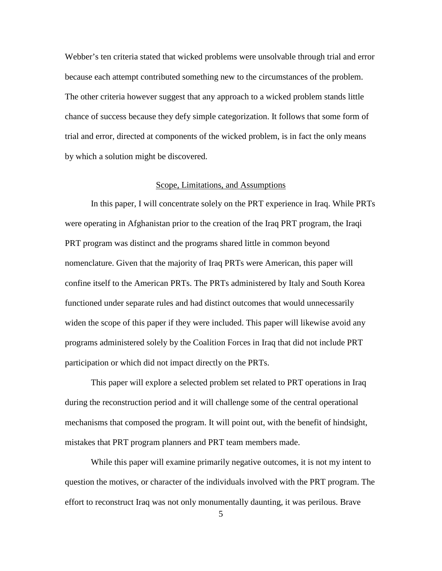Webber's ten criteria stated that wicked problems were unsolvable through trial and error because each attempt contributed something new to the circumstances of the problem. The other criteria however suggest that any approach to a wicked problem stands little chance of success because they defy simple categorization. It follows that some form of trial and error, directed at components of the wicked problem, is in fact the only means by which a solution might be discovered.

### Scope, Limitations, and Assumptions

In this paper, I will concentrate solely on the PRT experience in Iraq. While PRTs were operating in Afghanistan prior to the creation of the Iraq PRT program, the Iraqi PRT program was distinct and the programs shared little in common beyond nomenclature. Given that the majority of Iraq PRTs were American, this paper will confine itself to the American PRTs. The PRTs administered by Italy and South Korea functioned under separate rules and had distinct outcomes that would unnecessarily widen the scope of this paper if they were included. This paper will likewise avoid any programs administered solely by the Coalition Forces in Iraq that did not include PRT participation or which did not impact directly on the PRTs.

This paper will explore a selected problem set related to PRT operations in Iraq during the reconstruction period and it will challenge some of the central operational mechanisms that composed the program. It will point out, with the benefit of hindsight, mistakes that PRT program planners and PRT team members made.

While this paper will examine primarily negative outcomes, it is not my intent to question the motives, or character of the individuals involved with the PRT program. The effort to reconstruct Iraq was not only monumentally daunting, it was perilous. Brave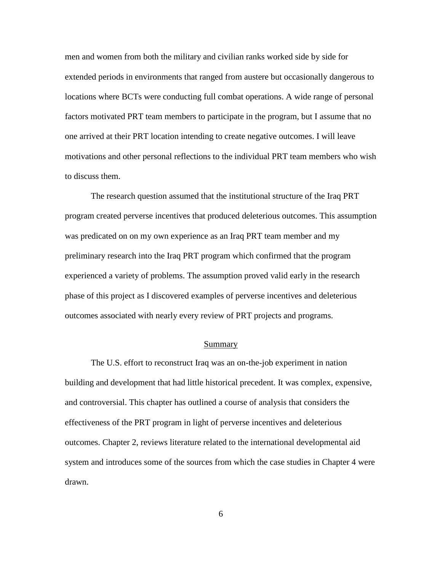men and women from both the military and civilian ranks worked side by side for extended periods in environments that ranged from austere but occasionally dangerous to locations where BCTs were conducting full combat operations. A wide range of personal factors motivated PRT team members to participate in the program, but I assume that no one arrived at their PRT location intending to create negative outcomes. I will leave motivations and other personal reflections to the individual PRT team members who wish to discuss them.

The research question assumed that the institutional structure of the Iraq PRT program created perverse incentives that produced deleterious outcomes. This assumption was predicated on on my own experience as an Iraq PRT team member and my preliminary research into the Iraq PRT program which confirmed that the program experienced a variety of problems. The assumption proved valid early in the research phase of this project as I discovered examples of perverse incentives and deleterious outcomes associated with nearly every review of PRT projects and programs.

#### Summary

The U.S. effort to reconstruct Iraq was an on-the-job experiment in nation building and development that had little historical precedent. It was complex, expensive, and controversial. This chapter has outlined a course of analysis that considers the effectiveness of the PRT program in light of perverse incentives and deleterious outcomes. Chapter 2, reviews literature related to the international developmental aid system and introduces some of the sources from which the case studies in Chapter 4 were drawn.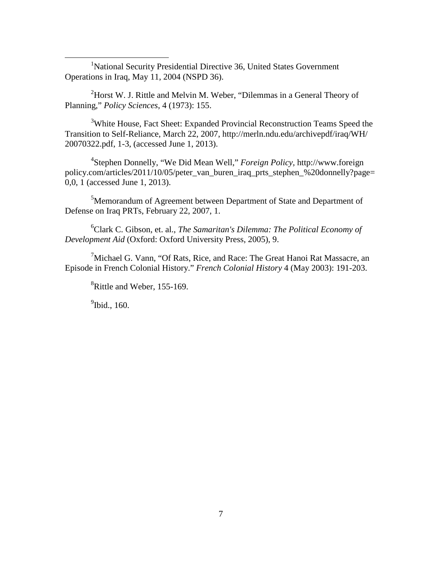<span id="page-16-0"></span><sup>1</sup>National Security Presidential Directive 36, United States Government Operations in Iraq, May 11, 2004 (NSPD 36).

<span id="page-16-1"></span> $2$ Horst W. J. Rittle and Melvin M. Weber, "Dilemmas in a General Theory of Planning," *Policy Sciences*, 4 (1973): 155.

<sup>3</sup>White House, Fact Sheet: Expanded Provincial Reconstruction Teams Speed the Transition to Self-Reliance, March 22, 2007, http://merln.ndu.edu/archivepdf/iraq/WH/ 20070322.pdf, 1-3, (accessed June 1, 2013).

4 Stephen Donnelly, "We Did Mean Well," *Foreign Policy,* http://www.foreign policy.com/articles/2011/10/05/peter\_van\_buren\_iraq\_prts\_stephen\_%20donnelly?page= 0,0, 1 (accessed June 1, 2013).

<sup>5</sup>Memorandum of Agreement between Department of State and Department of Defense on Iraq PRTs, February 22, 2007, 1.

6 Clark C. Gibson, et. al., *The Samaritan's Dilemma: The Political Economy of Development Aid* (Oxford: Oxford University Press, 2005), 9.

<sup>7</sup>Michael G. Vann, "Of Rats, Rice, and Race: The Great Hanoi Rat Massacre, an Episode in French Colonial History." *French Colonial History* 4 (May 2003): 191-203.

<sup>8</sup>Rittle and Weber, 155-169.

<sup>9</sup>Ibid., 160.

 $\overline{a}$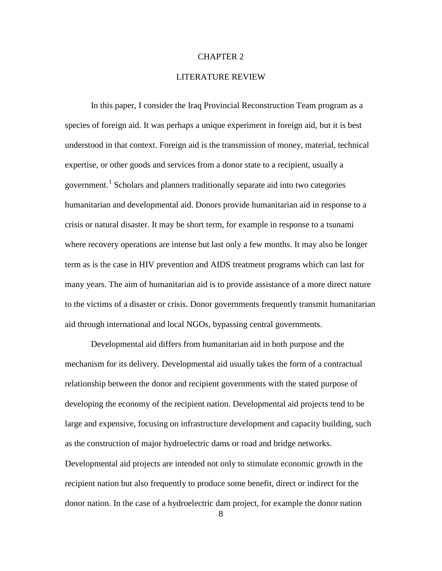#### CHAPTER 2

#### LITERATURE REVIEW

<span id="page-17-1"></span><span id="page-17-0"></span>In this paper, I consider the Iraq Provincial Reconstruction Team program as a species of foreign aid. It was perhaps a unique experiment in foreign aid, but it is best understood in that context. Foreign aid is the transmission of money, material, technical expertise, or other goods and services from a donor state to a recipient, usually a government.[1](#page-32-0) Scholars and planners traditionally separate aid into two categories humanitarian and developmental aid. Donors provide humanitarian aid in response to a crisis or natural disaster. It may be short term, for example in response to a tsunami where recovery operations are intense but last only a few months. It may also be longer term as is the case in HIV prevention and AIDS treatment programs which can last for many years. The aim of humanitarian aid is to provide assistance of a more direct nature to the victims of a disaster or crisis. Donor governments frequently transmit humanitarian aid through international and local NGOs, bypassing central governments.

Developmental aid differs from humanitarian aid in both purpose and the mechanism for its delivery. Developmental aid usually takes the form of a contractual relationship between the donor and recipient governments with the stated purpose of developing the economy of the recipient nation. Developmental aid projects tend to be large and expensive, focusing on infrastructure development and capacity building, such as the construction of major hydroelectric dams or road and bridge networks. Developmental aid projects are intended not only to stimulate economic growth in the recipient nation but also frequently to produce some benefit, direct or indirect for the donor nation. In the case of a hydroelectric dam project, for example the donor nation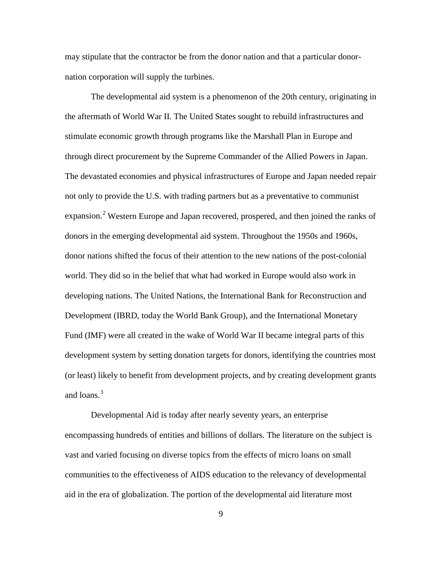may stipulate that the contractor be from the donor nation and that a particular donornation corporation will supply the turbines.

<span id="page-18-1"></span><span id="page-18-0"></span>The developmental aid system is a phenomenon of the 20th century, originating in the aftermath of World War II. The United States sought to rebuild infrastructures and stimulate economic growth through programs like the Marshall Plan in Europe and through direct procurement by the Supreme Commander of the Allied Powers in Japan. The devastated economies and physical infrastructures of Europe and Japan needed repair not only to provide the U.S. with trading partners but as a preventative to communist expansion.<sup>[2](#page-32-1)</sup> Western Europe and Japan recovered, prospered, and then joined the ranks of donors in the emerging developmental aid system. Throughout the 1950s and 1960s, donor nations shifted the focus of their attention to the new nations of the post-colonial world. They did so in the belief that what had worked in Europe would also work in developing nations. The United Nations, the International Bank for Reconstruction and Development (IBRD, today the World Bank Group), and the International Monetary Fund (IMF) were all created in the wake of World War II became integral parts of this development system by setting donation targets for donors, identifying the countries most (or least) likely to benefit from development projects, and by creating development grants and loans. $3<sup>3</sup>$  $3<sup>3</sup>$ 

<span id="page-18-4"></span><span id="page-18-3"></span><span id="page-18-2"></span>Developmental Aid is today after nearly seventy years, an enterprise encompassing hundreds of entities and billions of dollars. The literature on the subject is vast and varied focusing on diverse topics from the effects of micro loans on small communities to the effectiveness of AIDS education to the relevancy of developmental aid in the era of globalization. The portion of the developmental aid literature most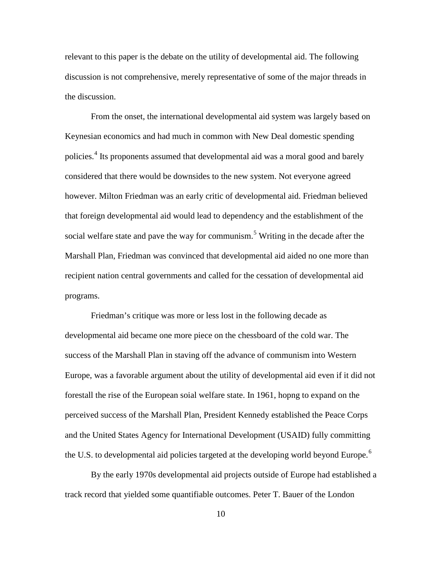relevant to this paper is the debate on the utility of developmental aid. The following discussion is not comprehensive, merely representative of some of the major threads in the discussion.

From the onset, the international developmental aid system was largely based on Keynesian economics and had much in common with New Deal domestic spending policies. [4](#page-33-0) Its proponents assumed that developmental aid was a moral good and barely considered that there would be downsides to the new system. Not everyone agreed however. Milton Friedman was an early critic of developmental aid. Friedman believed that foreign developmental aid would lead to dependency and the establishment of the social welfare state and pave the way for communism.<sup>[5](#page-33-1)</sup> Writing in the decade after the Marshall Plan, Friedman was convinced that developmental aid aided no one more than recipient nation central governments and called for the cessation of developmental aid programs.

Friedman's critique was more or less lost in the following decade as developmental aid became one more piece on the chessboard of the cold war. The success of the Marshall Plan in staving off the advance of communism into Western Europe, was a favorable argument about the utility of developmental aid even if it did not forestall the rise of the European soial welfare state. In 1961, hopng to expand on the perceived success of the Marshall Plan, President Kennedy established the Peace Corps and the United States Agency for International Development (USAID) fully committing the U.S. to developmental aid policies targeted at the developing world beyond Europe.<sup>[6](#page-33-2)</sup>

By the early 1970s developmental aid projects outside of Europe had established a track record that yielded some quantifiable outcomes. Peter T. Bauer of the London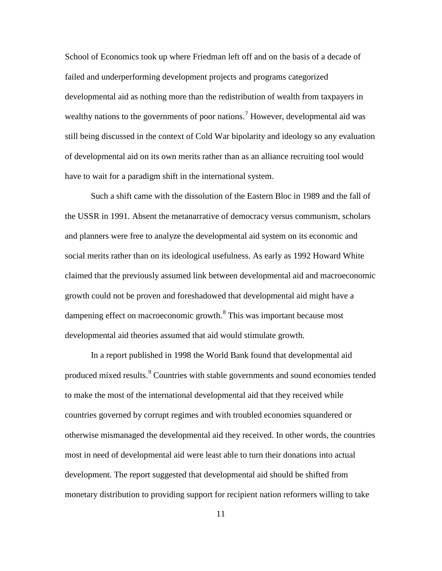School of Economics took up where Friedman left off and on the basis of a decade of failed and underperforming development projects and programs categorized developmental aid as nothing more than the redistribution of wealth from taxpayers in wealthy nations to the governments of poor nations.<sup>[7](#page-34-0)</sup> However, developmental aid was still being discussed in the context of Cold War bipolarity and ideology so any evaluation of developmental aid on its own merits rather than as an alliance recruiting tool would have to wait for a paradigm shift in the international system.

Such a shift came with the dissolution of the Eastern Bloc in 1989 and the fall of the USSR in 1991. Absent the metanarrative of democracy versus communism, scholars and planners were free to analyze the developmental aid system on its economic and social merits rather than on its ideological usefulness. As early as 1992 Howard White claimed that the previously assumed link between developmental aid and macroeconomic growth could not be proven and foreshadowed that developmental aid might have a dampening effect on macroeconomic growth.<sup>[8](#page-34-1)</sup> This was important because most developmental aid theories assumed that aid would stimulate growth.

In a report published in 1998 the World Bank found that developmental aid produced mixed results.<sup>[9](#page-34-2)</sup> Countries with stable governments and sound economies tended to make the most of the international developmental aid that they received while countries governed by corrupt regimes and with troubled economies squandered or otherwise mismanaged the developmental aid they received. In other words, the countries most in need of developmental aid were least able to turn their donations into actual development. The report suggested that developmental aid should be shifted from monetary distribution to providing support for recipient nation reformers willing to take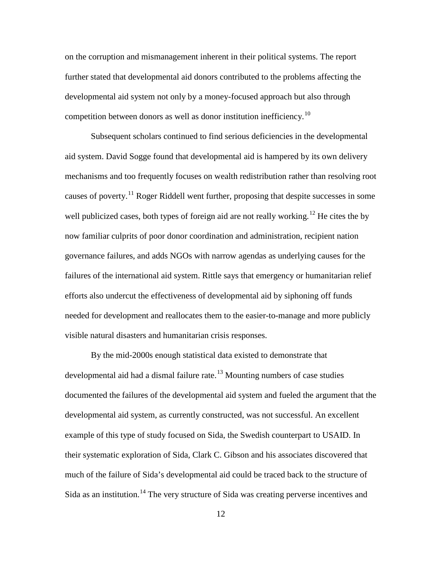on the corruption and mismanagement inherent in their political systems. The report further stated that developmental aid donors contributed to the problems affecting the developmental aid system not only by a money-focused approach but also through competition between donors as well as donor institution inefficiency.[10](#page-35-0)

Subsequent scholars continued to find serious deficiencies in the developmental aid system. David Sogge found that developmental aid is hampered by its own delivery mechanisms and too frequently focuses on wealth redistribution rather than resolving root causes of poverty.<sup>[11](#page-35-1)</sup> Roger Riddell went further, proposing that despite successes in some well publicized cases, both types of foreign aid are not really working.<sup>[12](#page-35-2)</sup> He cites the by now familiar culprits of poor donor coordination and administration, recipient nation governance failures, and adds NGOs with narrow agendas as underlying causes for the failures of the international aid system. Rittle says that emergency or humanitarian relief efforts also undercut the effectiveness of developmental aid by siphoning off funds needed for development and reallocates them to the easier-to-manage and more publicly visible natural disasters and humanitarian crisis responses.

By the mid-2000s enough statistical data existed to demonstrate that developmental aid had a dismal failure rate. $13$  Mounting numbers of case studies documented the failures of the developmental aid system and fueled the argument that the developmental aid system, as currently constructed, was not successful. An excellent example of this type of study focused on Sida, the Swedish counterpart to USAID. In their systematic exploration of Sida, Clark C. Gibson and his associates discovered that much of the failure of Sida's developmental aid could be traced back to the structure of Sida as an institution.<sup>[14](#page-35-4)</sup> The very structure of Sida was creating perverse incentives and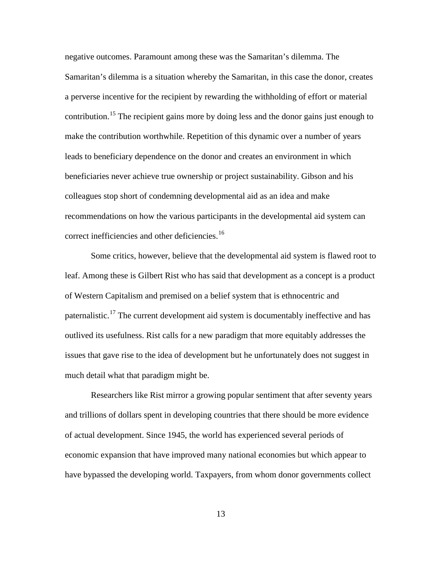negative outcomes. Paramount among these was the Samaritan's dilemma. The Samaritan's dilemma is a situation whereby the Samaritan, in this case the donor, creates a perverse incentive for the recipient by rewarding the withholding of effort or material contribution.<sup>[15](#page-36-0)</sup> The recipient gains more by doing less and the donor gains just enough to make the contribution worthwhile. Repetition of this dynamic over a number of years leads to beneficiary dependence on the donor and creates an environment in which beneficiaries never achieve true ownership or project sustainability. Gibson and his colleagues stop short of condemning developmental aid as an idea and make recommendations on how the various participants in the developmental aid system can correct inefficiencies and other deficiencies.<sup>[16](#page-36-1)</sup>

Some critics, however, believe that the developmental aid system is flawed root to leaf. Among these is Gilbert Rist who has said that development as a concept is a product of Western Capitalism and premised on a belief system that is ethnocentric and paternalistic.<sup>[17](#page-36-2)</sup> The current development aid system is documentably ineffective and has outlived its usefulness. Rist calls for a new paradigm that more equitably addresses the issues that gave rise to the idea of development but he unfortunately does not suggest in much detail what that paradigm might be.

Researchers like Rist mirror a growing popular sentiment that after seventy years and trillions of dollars spent in developing countries that there should be more evidence of actual development. Since 1945, the world has experienced several periods of economic expansion that have improved many national economies but which appear to have bypassed the developing world. Taxpayers, from whom donor governments collect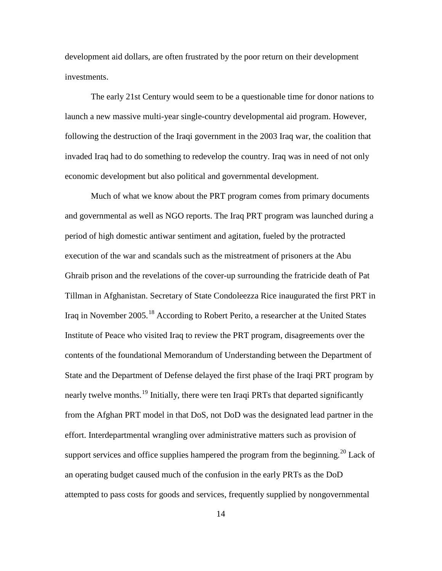development aid dollars, are often frustrated by the poor return on their development investments.

The early 21st Century would seem to be a questionable time for donor nations to launch a new massive multi-year single-country developmental aid program. However, following the destruction of the Iraqi government in the 2003 Iraq war, the coalition that invaded Iraq had to do something to redevelop the country. Iraq was in need of not only economic development but also political and governmental development.

Much of what we know about the PRT program comes from primary documents and governmental as well as NGO reports. The Iraq PRT program was launched during a period of high domestic antiwar sentiment and agitation, fueled by the protracted execution of the war and scandals such as the mistreatment of prisoners at the Abu Ghraib prison and the revelations of the cover-up surrounding the fratricide death of Pat Tillman in Afghanistan. Secretary of State Condoleezza Rice inaugurated the first PRT in Iraq in November 2005.[18](#page-36-3) According to Robert Perito, a researcher at the United States Institute of Peace who visited Iraq to review the PRT program, disagreements over the contents of the foundational Memorandum of Understanding between the Department of State and the Department of Defense delayed the first phase of the Iraqi PRT program by nearly twelve months.<sup>[19](#page-36-4)</sup> Initially, there were ten Iraqi PRTs that departed significantly from the Afghan PRT model in that DoS, not DoD was the designated lead partner in the effort. Interdepartmental wrangling over administrative matters such as provision of support services and office supplies hampered the program from the beginning.<sup>[20](#page-36-5)</sup> Lack of an operating budget caused much of the confusion in the early PRTs as the DoD attempted to pass costs for goods and services, frequently supplied by nongovernmental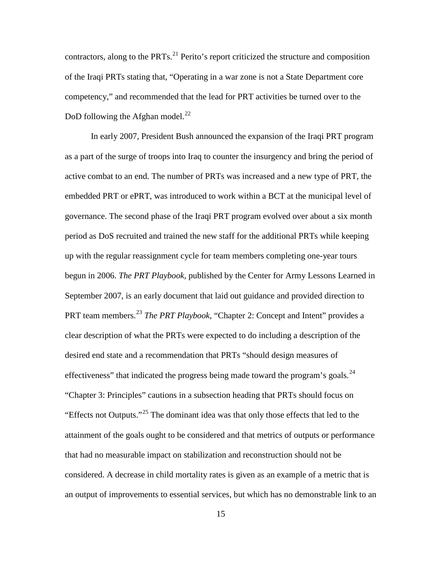contractors, along to the  $PRTs$ <sup>[21](#page-37-0)</sup> Perito's report criticized the structure and composition of the Iraqi PRTs stating that, "Operating in a war zone is not a State Department core competency," and recommended that the lead for PRT activities be turned over to the DoD following the Afghan model. $^{22}$  $^{22}$  $^{22}$ 

In early 2007, President Bush announced the expansion of the Iraqi PRT program as a part of the surge of troops into Iraq to counter the insurgency and bring the period of active combat to an end. The number of PRTs was increased and a new type of PRT, the embedded PRT or ePRT, was introduced to work within a BCT at the municipal level of governance. The second phase of the Iraqi PRT program evolved over about a six month period as DoS recruited and trained the new staff for the additional PRTs while keeping up with the regular reassignment cycle for team members completing one-year tours begun in 2006. *The PRT Playbook,* published by the Center for Army Lessons Learned in September 2007, is an early document that laid out guidance and provided direction to PRT team members.[23](#page-37-2) *The PRT Playbook,* "Chapter 2: Concept and Intent" provides a clear description of what the PRTs were expected to do including a description of the desired end state and a recommendation that PRTs "should design measures of effectiveness" that indicated the progress being made toward the program's goals.<sup>[24](#page-37-3)</sup> "Chapter 3: Principles" cautions in a subsection heading that PRTs should focus on "Effects not Outputs."[25](#page-37-4) The dominant idea was that only those effects that led to the attainment of the goals ought to be considered and that metrics of outputs or performance that had no measurable impact on stabilization and reconstruction should not be considered. A decrease in child mortality rates is given as an example of a metric that is an output of improvements to essential services, but which has no demonstrable link to an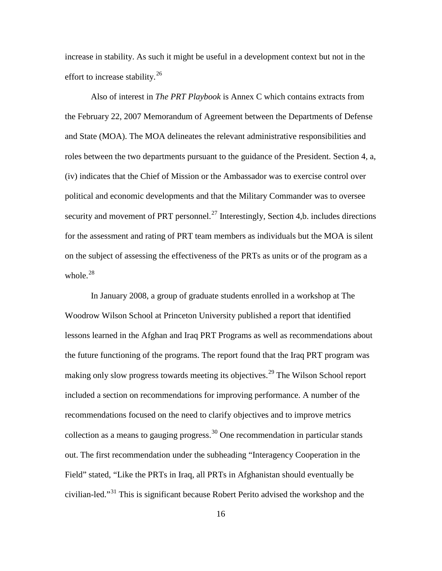increase in stability. As such it might be useful in a development context but not in the effort to increase stability.<sup>[26](#page-38-0)</sup>

Also of interest in *The PRT Playbook* is Annex C which contains extracts from the February 22, 2007 Memorandum of Agreement between the Departments of Defense and State (MOA). The MOA delineates the relevant administrative responsibilities and roles between the two departments pursuant to the guidance of the President. Section 4, a, (iv) indicates that the Chief of Mission or the Ambassador was to exercise control over political and economic developments and that the Military Commander was to oversee security and movement of PRT personnel.<sup>[27](#page-38-1)</sup> Interestingly, Section 4,b. includes directions for the assessment and rating of PRT team members as individuals but the MOA is silent on the subject of assessing the effectiveness of the PRTs as units or of the program as a whole. $28$ 

In January 2008, a group of graduate students enrolled in a workshop at The Woodrow Wilson School at Princeton University published a report that identified lessons learned in the Afghan and Iraq PRT Programs as well as recommendations about the future functioning of the programs. The report found that the Iraq PRT program was making only slow progress towards meeting its objectives.<sup>[29](#page-38-3)</sup> The Wilson School report included a section on recommendations for improving performance. A number of the recommendations focused on the need to clarify objectives and to improve metrics collection as a means to gauging progress.<sup>[30](#page-38-4)</sup> One recommendation in particular stands out. The first recommendation under the subheading "Interagency Cooperation in the Field" stated, "Like the PRTs in Iraq, all PRTs in Afghanistan should eventually be civilian-led."[31](#page-38-5) This is significant because Robert Perito advised the workshop and the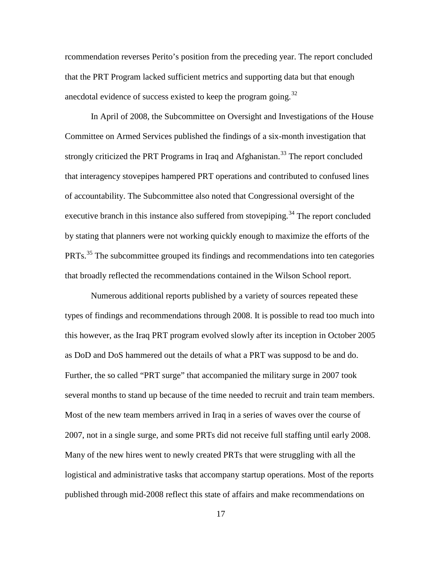rcommendation reverses Perito's position from the preceding year. The report concluded that the PRT Program lacked sufficient metrics and supporting data but that enough anecdotal evidence of success existed to keep the program going.<sup>[32](#page-39-0)</sup>

In April of 2008, the Subcommittee on Oversight and Investigations of the House Committee on Armed Services published the findings of a six-month investigation that strongly criticized the PRT Programs in Iraq and Afghanistan.<sup>[33](#page-39-1)</sup> The report concluded that interagency stovepipes hampered PRT operations and contributed to confused lines of accountability. The Subcommittee also noted that Congressional oversight of the executive branch in this instance also suffered from stovepiping.<sup>[34](#page-39-2)</sup> The report concluded by stating that planners were not working quickly enough to maximize the efforts of the PRTs.<sup>[35](#page-39-3)</sup> The subcommittee grouped its findings and recommendations into ten categories that broadly reflected the recommendations contained in the Wilson School report.

Numerous additional reports published by a variety of sources repeated these types of findings and recommendations through 2008. It is possible to read too much into this however, as the Iraq PRT program evolved slowly after its inception in October 2005 as DoD and DoS hammered out the details of what a PRT was supposd to be and do. Further, the so called "PRT surge" that accompanied the military surge in 2007 took several months to stand up because of the time needed to recruit and train team members. Most of the new team members arrived in Iraq in a series of waves over the course of 2007, not in a single surge, and some PRTs did not receive full staffing until early 2008. Many of the new hires went to newly created PRTs that were struggling with all the logistical and administrative tasks that accompany startup operations. Most of the reports published through mid-2008 reflect this state of affairs and make recommendations on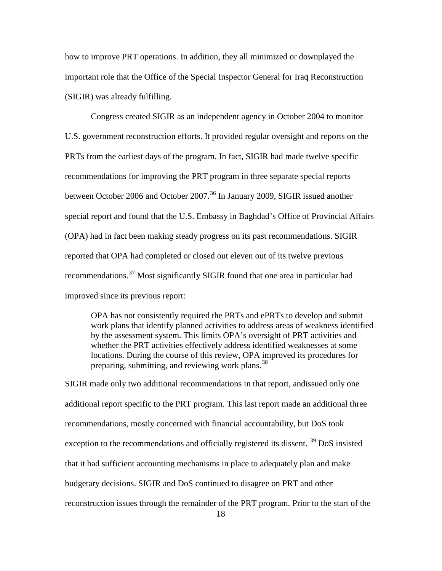how to improve PRT operations. In addition, they all minimized or downplayed the important role that the Office of the Special Inspector General for Iraq Reconstruction (SIGIR) was already fulfilling.

Congress created SIGIR as an independent agency in October 2004 to monitor U.S. government reconstruction efforts. It provided regular oversight and reports on the PRTs from the earliest days of the program. In fact, SIGIR had made twelve specific recommendations for improving the PRT program in three separate special reports between October 2006 and October 2007.<sup>[36](#page-40-0)</sup> In January 2009, SIGIR issued another special report and found that the U.S. Embassy in Baghdad's Office of Provincial Affairs (OPA) had in fact been making steady progress on its past recommendations. SIGIR reported that OPA had completed or closed out eleven out of its twelve previous recommendations.[37](#page-40-1) Most significantly SIGIR found that one area in particular had improved since its previous report:

OPA has not consistently required the PRTs and ePRTs to develop and submit work plans that identify planned activities to address areas of weakness identified by the assessment system. This limits OPA's oversight of PRT activities and whether the PRT activities effectively address identified weaknesses at some locations. During the course of this review, OPA improved its procedures for preparing, submitting, and reviewing work plans.<sup>[38](#page-40-2)</sup>

SIGIR made only two additional recommendations in that report, andissued only one additional report specific to the PRT program. This last report made an additional three recommendations, mostly concerned with financial accountability, but DoS took exception to the recommendations and officially registered its dissent.<sup>[39](#page-40-3)</sup> DoS insisted that it had sufficient accounting mechanisms in place to adequately plan and make budgetary decisions. SIGIR and DoS continued to disagree on PRT and other reconstruction issues through the remainder of the PRT program. Prior to the start of the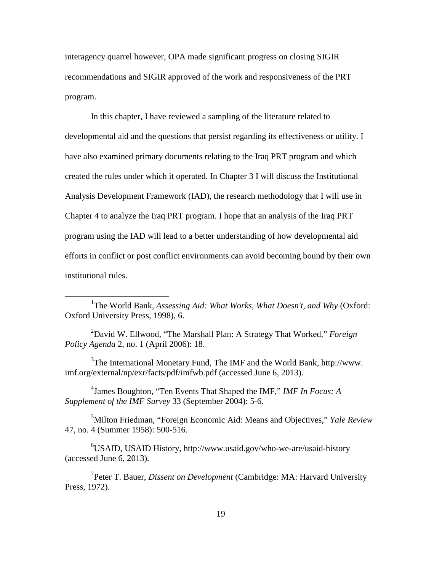interagency quarrel however, OPA made significant progress on closing SIGIR recommendations and SIGIR approved of the work and responsiveness of the PRT program.

In this chapter, I have reviewed a sampling of the literature related to developmental aid and the questions that persist regarding its effectiveness or utility. I have also examined primary documents relating to the Iraq PRT program and which created the rules under which it operated. In Chapter 3 I will discuss the Institutional Analysis Development Framework (IAD), the research methodology that I will use in Chapter 4 to analyze the Iraq PRT program. I hope that an analysis of the Iraq PRT program using the IAD will lead to a better understanding of how developmental aid efforts in conflict or post conflict environments can avoid becoming bound by their own institutional rules.

 $\overline{a}$ 

4 James Boughton, "Ten Events That Shaped the IMF," *IMF In Focus: A Supplement of the IMF Survey* 33 (September 2004): 5-6.

5 Milton Friedman, "Foreign Economic Aid: Means and Objectives," *Yale Review* 47, no. 4 (Summer 1958): 500-516.

6 USAID, USAID History, http://www.usaid.gov/who-we-are/usaid-history (accessed June 6, 2013).

7 Peter T. Bauer, *Dissent on Development* (Cambridge: MA: Harvard University Press, 1972).

<sup>&</sup>lt;sup>1</sup>The World Bank, *Assessing Aid: What Works, What Doesn't, and Why* (Oxford: Oxford University Press, 1998), 6.

<sup>2</sup> David W. Ellwood, "The Marshall Plan: A Strategy That Worked," *Foreign Policy Agenda* 2, no. 1 (April 2006): 18.

 $3$ The International Monetary Fund, The IMF and the World Bank, http://www. imf.org/external/np/exr/facts/pdf/imfwb.pdf (accessed June 6, 2013).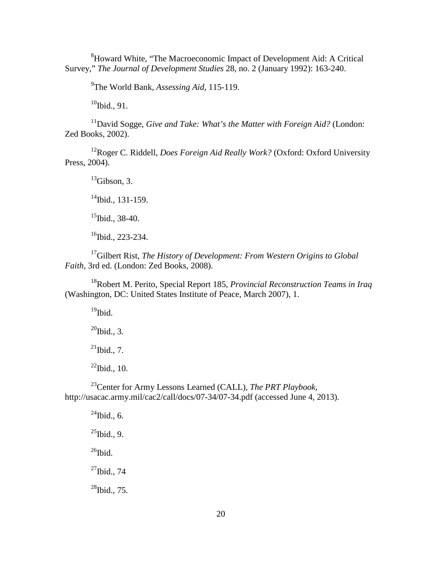<sup>8</sup>Howard White, "The Macroeconomic Impact of Development Aid: A Critical Survey," *The Journal of Development Studies* 28, no. 2 (January 1992): 163-240.

9 The World Bank, *Assessing Aid,* 115-119.

 $10$ Ibid., 91.

<sup>11</sup>David Sogge, *Give and Take: What's the Matter with Foreign Aid?* (London: Zed Books, 2002).

<sup>12</sup>Roger C. Riddell, *Does Foreign Aid Really Work?* (Oxford: Oxford University Press, 2004).

 $^{13}$ Gibson, 3.

 $14$ Ibid., 131-159.

 $15$ Ibid., 38-40.

 $16$ Ibid., 223-234.

17Gilbert Rist, *The History of Development: From Western Origins to Global Faith,* 3rd ed. (London: Zed Books, 2008).

18Robert M. Perito, Special Report 185, *Provincial Reconstruction Teams in Iraq* (Washington, DC: United States Institute of Peace, March 2007), 1.

 $19$ Ibid.

 $^{20}$ Ibid., 3.

 $^{21}$ Ibid., 7.

 $^{22}$ Ibid., 10.

23Center for Army Lessons Learned (CALL), *The PRT Playbook,* http://usacac.army.mil/cac2/call/docs/07-34/07-34.pdf (accessed June 4, 2013).

 $^{24}$ Ibid., 6.  $^{25}$ Ibid., 9.  $^{26}$ Ibid.  $^{27}$ Ibid., 74  $^{28}$ Ibid., 75.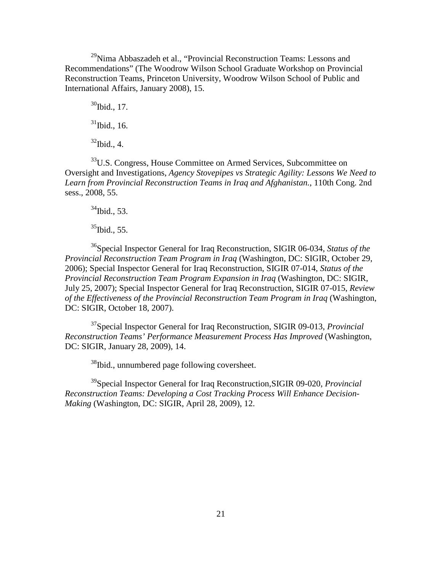$^{29}$ Nima Abbaszadeh et al., "Provincial Reconstruction Teams: Lessons and Recommendations" (The Woodrow Wilson School Graduate Workshop on Provincial Reconstruction Teams, Princeton University, Woodrow Wilson School of Public and International Affairs, January 2008), 15.

 $30$ Ibid., 17.  $31$ Ibid., 16.  $32$ Ibid., 4.

<sup>33</sup>U.S. Congress, House Committee on Armed Services, Subcommittee on Oversight and Investigations, *Agency Stovepipes vs Strategic Agility: Lessons We Need to Learn from Provincial Reconstruction Teams in Iraq and Afghanistan.*, 110th Cong. 2nd sess., 2008, 55.

 $34$ Ibid., 53.

 $35$ Ibid., 55.

36Special Inspector General for Iraq Reconstruction, SIGIR 06-034, *Status of the Provincial Reconstruction Team Program in Iraq* (Washington, DC: SIGIR, October 29, 2006); Special Inspector General for Iraq Reconstruction, SIGIR 07-014, *Status of the Provincial Reconstruction Team Program Expansion in Iraq* (Washington, DC: SIGIR, July 25, 2007); Special Inspector General for Iraq Reconstruction, SIGIR 07-015, *Review of the Effectiveness of the Provincial Reconstruction Team Program in Iraq* (Washington, DC: SIGIR, October 18, 2007).

37Special Inspector General for Iraq Reconstruction, SIGIR 09-013, *Provincial Reconstruction Teams' Performance Measurement Process Has Improved* (Washington, DC: SIGIR, January 28, 2009), 14.

38Ibid., unnumbered page following coversheet.

39Special Inspector General for Iraq Reconstruction,SIGIR 09-020, *Provincial Reconstruction Teams: Developing a Cost Tracking Process Will Enhance Decision-Making* (Washington, DC: SIGIR, April 28, 2009), 12.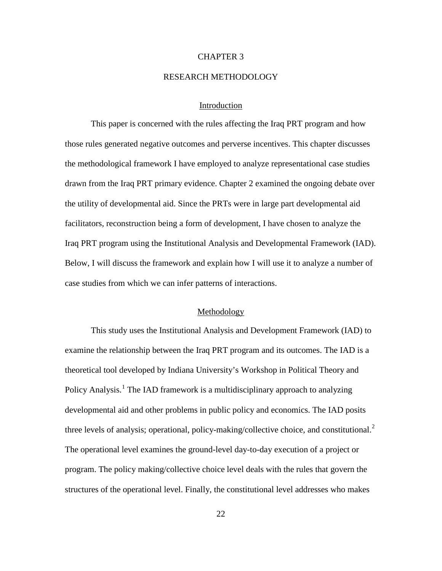#### CHAPTER 3

#### RESEARCH METHODOLOGY

#### Introduction

This paper is concerned with the rules affecting the Iraq PRT program and how those rules generated negative outcomes and perverse incentives. This chapter discusses the methodological framework I have employed to analyze representational case studies drawn from the Iraq PRT primary evidence. Chapter 2 examined the ongoing debate over the utility of developmental aid. Since the PRTs were in large part developmental aid facilitators, reconstruction being a form of development, I have chosen to analyze the Iraq PRT program using the Institutional Analysis and Developmental Framework (IAD). Below, I will discuss the framework and explain how I will use it to analyze a number of case studies from which we can infer patterns of interactions.

#### Methodology

This study uses the Institutional Analysis and Development Framework (IAD) to examine the relationship between the Iraq PRT program and its outcomes. The IAD is a theoretical tool developed by Indiana University's Workshop in Political Theory and Policy Analysis.<sup>[1](#page-37-5)</sup> The IAD framework is a multidisciplinary approach to analyzing developmental aid and other problems in public policy and economics. The IAD posits three levels of analysis; operational, policy-making/collective choice, and constitutional.<sup>[2](#page-37-6)</sup> The operational level examines the ground-level day-to-day execution of a project or program. The policy making/collective choice level deals with the rules that govern the structures of the operational level. Finally, the constitutional level addresses who makes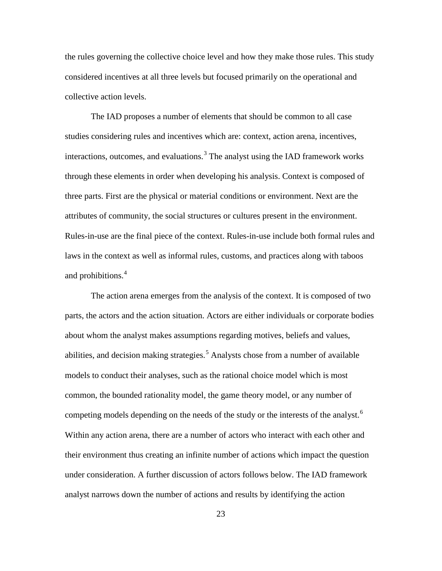the rules governing the collective choice level and how they make those rules. This study considered incentives at all three levels but focused primarily on the operational and collective action levels.

The IAD proposes a number of elements that should be common to all case studies considering rules and incentives which are: context, action arena, incentives, interactions, outcomes, and evaluations. $3$  The analyst using the IAD framework works through these elements in order when developing his analysis. Context is composed of three parts. First are the physical or material conditions or environment. Next are the attributes of community, the social structures or cultures present in the environment. Rules-in-use are the final piece of the context. Rules-in-use include both formal rules and laws in the context as well as informal rules, customs, and practices along with taboos and prohibitions.<sup>[4](#page-37-1)</sup>

<span id="page-32-2"></span><span id="page-32-1"></span><span id="page-32-0"></span>The action arena emerges from the analysis of the context. It is composed of two parts, the actors and the action situation. Actors are either individuals or corporate bodies about whom the analyst makes assumptions regarding motives, beliefs and values, abilities, and decision making strategies.<sup>[5](#page-37-2)</sup> Analysts chose from a number of available models to conduct their analyses, such as the rational choice model which is most common, the bounded rationality model, the game theory model, or any number of competing models depending on the needs of the study or the interests of the analyst.<sup>[6](#page-37-7)</sup> Within any action arena, there are a number of actors who interact with each other and their environment thus creating an infinite number of actions which impact the question under consideration. A further discussion of actors follows below. The IAD framework analyst narrows down the number of actions and results by identifying the action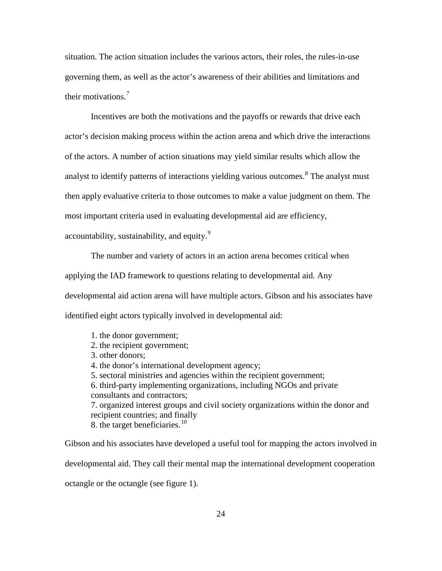situation. The action situation includes the various actors, their roles, the rules-in-use governing them, as well as the actor's awareness of their abilities and limitations and their motivations.<sup>[7](#page-37-8)</sup>

Incentives are both the motivations and the payoffs or rewards that drive each actor's decision making process within the action arena and which drive the interactions of the actors. A number of action situations may yield similar results which allow the analyst to identify patterns of interactions yielding various outcomes.<sup>[8](#page-37-9)</sup> The analyst must then apply evaluative criteria to those outcomes to make a value judgment on them. The most important criteria used in evaluating developmental aid are efficiency, accountability, sustainability, and equity.<sup>[9](#page-37-10)</sup>

The number and variety of actors in an action arena becomes critical when applying the IAD framework to questions relating to developmental aid. Any developmental aid action arena will have multiple actors. Gibson and his associates have identified eight actors typically involved in developmental aid:

1. the donor government; 2. the recipient government; 3. other donors; 4. the donor's international development agency; 5. sectoral ministries and agencies within the recipient government; 6. third-party implementing organizations, including NGOs and private consultants and contractors; 7. organized interest groups and civil society organizations within the donor and recipient countries; and finally 8. the target beneficiaries.<sup>[10](#page-37-11)</sup>

<span id="page-33-2"></span><span id="page-33-1"></span><span id="page-33-0"></span>Gibson and his associates have developed a useful tool for mapping the actors involved in developmental aid. They call their mental map the international development cooperation octangle or the octangle (see figure 1).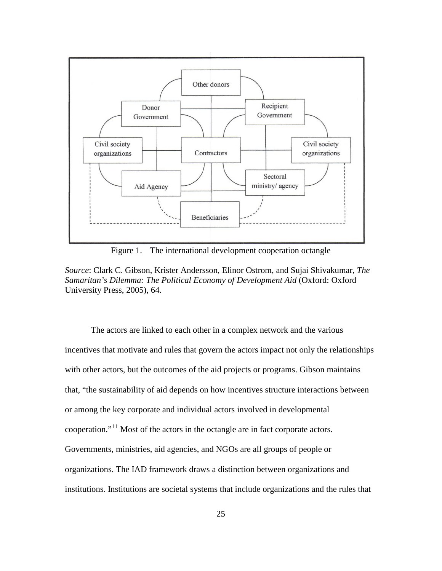<span id="page-34-2"></span><span id="page-34-1"></span>

Figure 1. The international development cooperation octangle

*Source*: Clark C. Gibson, Krister Andersson, Elinor Ostrom, and Sujai Shivakumar, *The Samaritan's Dilemma: The Political Economy of Development Aid* (Oxford: Oxford University Press, 2005), 64.

<span id="page-34-0"></span>The actors are linked to each other in a complex network and the various incentives that motivate and rules that govern the actors impact not only the relationships with other actors, but the outcomes of the aid projects or programs. Gibson maintains that, "the sustainability of aid depends on how incentives structure interactions between or among the key corporate and individual actors involved in developmental cooperation."[11](#page-37-12) Most of the actors in the octangle are in fact corporate actors. Governments, ministries, aid agencies, and NGOs are all groups of people or organizations. The IAD framework draws a distinction between organizations and institutions. Institutions are societal systems that include organizations and the rules that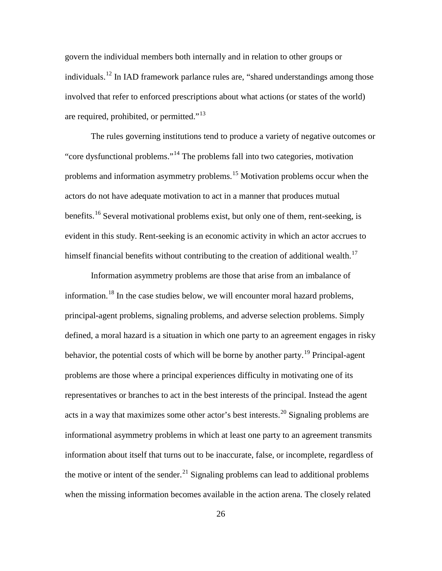govern the individual members both internally and in relation to other groups or individuals.<sup>[12](#page-37-13)</sup> In IAD framework parlance rules are, "shared understandings among those involved that refer to enforced prescriptions about what actions (or states of the world) are required, prohibited, or permitted."<sup>[13](#page-37-14)</sup>

<span id="page-35-4"></span><span id="page-35-3"></span><span id="page-35-2"></span><span id="page-35-1"></span><span id="page-35-0"></span>The rules governing institutions tend to produce a variety of negative outcomes or "core dysfunctional problems."[14](#page-37-15) The problems fall into two categories, motivation problems and information asymmetry problems.<sup>[15](#page-37-16)</sup> Motivation problems occur when the actors do not have adequate motivation to act in a manner that produces mutual benefits.<sup>[16](#page-37-17)</sup> Several motivational problems exist, but only one of them, rent-seeking, is evident in this study. Rent-seeking is an economic activity in which an actor accrues to himself financial benefits without contributing to the creation of additional wealth.<sup>[17](#page-37-18)</sup>

Information asymmetry problems are those that arise from an imbalance of information.[18](#page-37-19) In the case studies below, we will encounter moral hazard problems, principal-agent problems, signaling problems, and adverse selection problems. Simply defined, a moral hazard is a situation in which one party to an agreement engages in risky behavior, the potential costs of which will be borne by another party.<sup>[19](#page-37-20)</sup> Principal-agent problems are those where a principal experiences difficulty in motivating one of its representatives or branches to act in the best interests of the principal. Instead the agent acts in a way that maximizes some other actor's best interests.<sup>[20](#page-37-21)</sup> Signaling problems are informational asymmetry problems in which at least one party to an agreement transmits information about itself that turns out to be inaccurate, false, or incomplete, regardless of the motive or intent of the sender.<sup>[21](#page-37-22)</sup> Signaling problems can lead to additional problems when the missing information becomes available in the action arena. The closely related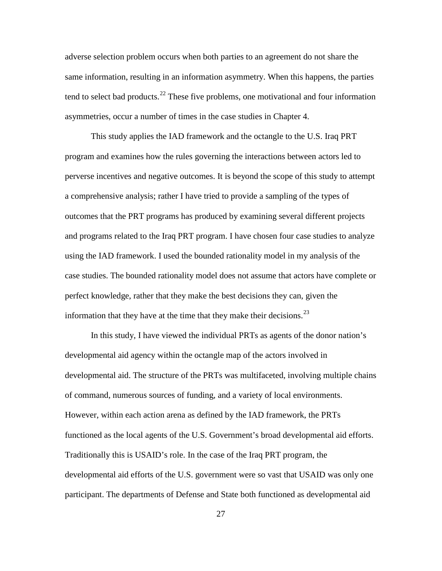adverse selection problem occurs when both parties to an agreement do not share the same information, resulting in an information asymmetry. When this happens, the parties tend to select bad products.<sup>[22](#page-37-0)</sup> These five problems, one motivational and four information asymmetries, occur a number of times in the case studies in Chapter 4.

This study applies the IAD framework and the octangle to the U.S. Iraq PRT program and examines how the rules governing the interactions between actors led to perverse incentives and negative outcomes. It is beyond the scope of this study to attempt a comprehensive analysis; rather I have tried to provide a sampling of the types of outcomes that the PRT programs has produced by examining several different projects and programs related to the Iraq PRT program. I have chosen four case studies to analyze using the IAD framework. I used the bounded rationality model in my analysis of the case studies. The bounded rationality model does not assume that actors have complete or perfect knowledge, rather that they make the best decisions they can, given the information that they have at the time that they make their decisions.<sup>[23](#page-37-1)</sup>

In this study, I have viewed the individual PRTs as agents of the donor nation's developmental aid agency within the octangle map of the actors involved in developmental aid. The structure of the PRTs was multifaceted, involving multiple chains of command, numerous sources of funding, and a variety of local environments. However, within each action arena as defined by the IAD framework, the PRTs functioned as the local agents of the U.S. Government's broad developmental aid efforts. Traditionally this is USAID's role. In the case of the Iraq PRT program, the developmental aid efforts of the U.S. government were so vast that USAID was only one participant. The departments of Defense and State both functioned as developmental aid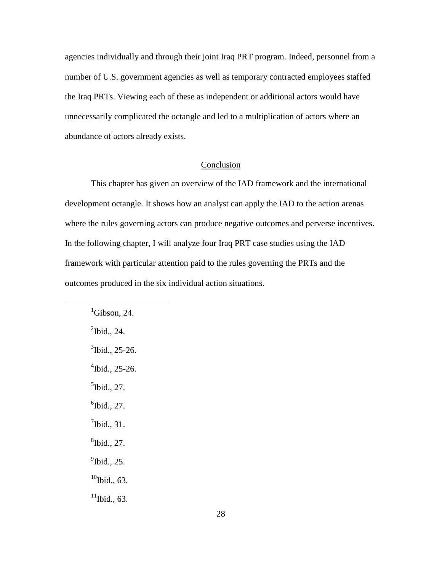agencies individually and through their joint Iraq PRT program. Indeed, personnel from a number of U.S. government agencies as well as temporary contracted employees staffed the Iraq PRTs. Viewing each of these as independent or additional actors would have unnecessarily complicated the octangle and led to a multiplication of actors where an abundance of actors already exists.

## Conclusion

<span id="page-37-0"></span>This chapter has given an overview of the IAD framework and the international development octangle. It shows how an analyst can apply the IAD to the action arenas where the rules governing actors can produce negative outcomes and perverse incentives. In the following chapter, I will analyze four Iraq PRT case studies using the IAD framework with particular attention paid to the rules governing the PRTs and the outcomes produced in the six individual action situations.

 ${}^{1}$ Gibson, 24.  $\mathrm{^{2}Ibid.}, 24.$  $3$ Ibid., 25-26. 4 Ibid., 25-26.  $<sup>5</sup>$ Ibid., 27.</sup>  $<sup>6</sup>$ Ibid., 27.</sup>  $\int$ <sup>7</sup>Ibid., 31.  ${}^{8}$ Ibid., 27.  $<sup>9</sup>$ Ibid., 25.</sup>  $10$ Ibid., 63.  $11$ Ibid., 63.

<span id="page-37-1"></span> $\overline{a}$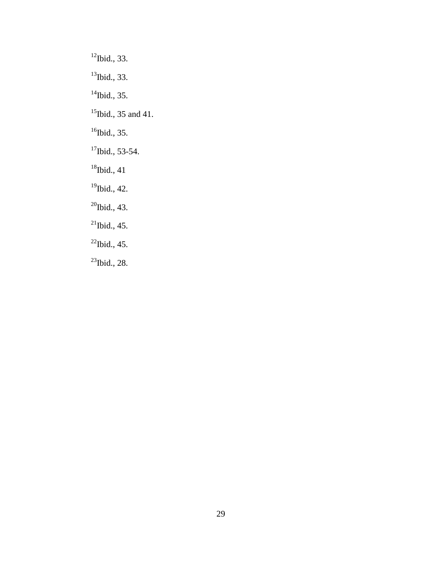$12$ Ibid., 33. <sup>13</sup>Ibid., 33.  $14$ Ibid., 35. <sup>15</sup>Ibid., 35 and 41.  $16$ Ibid., 35.  $17$ Ibid., 53-54.  $18$ Ibid., 41 <sup>19</sup>Ibid., 42.  $^{20}$ Ibid., 43.  $^{21}$ Ibid., 45.  $^{22}$ Ibid., 45.  $^{23}$ Ibid., 28.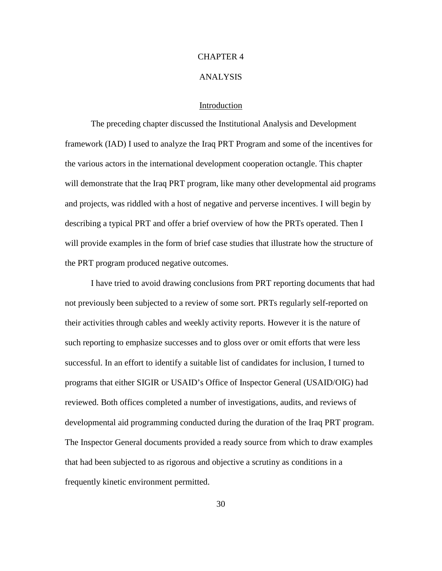## CHAPTER 4

#### ANALYSIS

## Introduction

The preceding chapter discussed the Institutional Analysis and Development framework (IAD) I used to analyze the Iraq PRT Program and some of the incentives for the various actors in the international development cooperation octangle. This chapter will demonstrate that the Iraq PRT program, like many other developmental aid programs and projects, was riddled with a host of negative and perverse incentives. I will begin by describing a typical PRT and offer a brief overview of how the PRTs operated. Then I will provide examples in the form of brief case studies that illustrate how the structure of the PRT program produced negative outcomes.

I have tried to avoid drawing conclusions from PRT reporting documents that had not previously been subjected to a review of some sort. PRTs regularly self-reported on their activities through cables and weekly activity reports. However it is the nature of such reporting to emphasize successes and to gloss over or omit efforts that were less successful. In an effort to identify a suitable list of candidates for inclusion, I turned to programs that either SIGIR or USAID's Office of Inspector General (USAID/OIG) had reviewed. Both offices completed a number of investigations, audits, and reviews of developmental aid programming conducted during the duration of the Iraq PRT program. The Inspector General documents provided a ready source from which to draw examples that had been subjected to as rigorous and objective a scrutiny as conditions in a frequently kinetic environment permitted.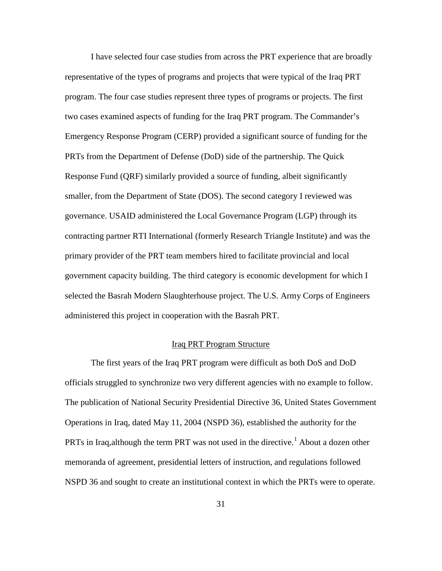I have selected four case studies from across the PRT experience that are broadly representative of the types of programs and projects that were typical of the Iraq PRT program. The four case studies represent three types of programs or projects. The first two cases examined aspects of funding for the Iraq PRT program. The Commander's Emergency Response Program (CERP) provided a significant source of funding for the PRTs from the Department of Defense (DoD) side of the partnership. The Quick Response Fund (QRF) similarly provided a source of funding, albeit significantly smaller, from the Department of State (DOS). The second category I reviewed was governance. USAID administered the Local Governance Program (LGP) through its contracting partner RTI International (formerly Research Triangle Institute) and was the primary provider of the PRT team members hired to facilitate provincial and local government capacity building. The third category is economic development for which I selected the Basrah Modern Slaughterhouse project. The U.S. Army Corps of Engineers administered this project in cooperation with the Basrah PRT.

## Iraq PRT Program Structure

The first years of the Iraq PRT program were difficult as both DoS and DoD officials struggled to synchronize two very different agencies with no example to follow. The publication of National Security Presidential Directive 36, United States Government Operations in Iraq, dated May 11, 2004 (NSPD 36), established the authority for the PRTs in Iraq, although the term PRT was not used in the directive.<sup>[1](#page-79-0)</sup> About a dozen other memoranda of agreement, presidential letters of instruction, and regulations followed NSPD 36 and sought to create an institutional context in which the PRTs were to operate.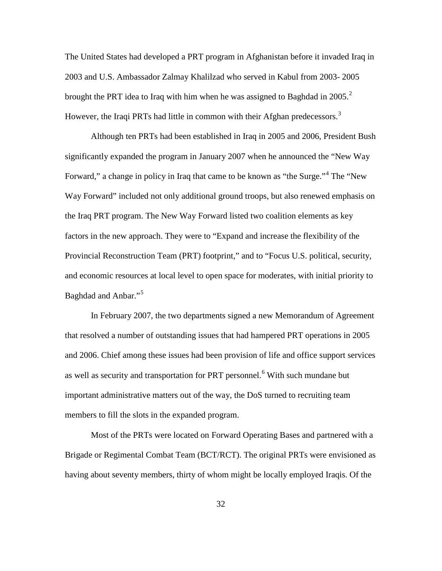The United States had developed a PRT program in Afghanistan before it invaded Iraq in 2003 and U.S. Ambassador Zalmay Khalilzad who served in Kabul from 2003- 2005 brought the PRT idea to Iraq with him when he was assigned to Baghdad in [2](#page-80-0)005.<sup>2</sup> However, the Iraqi PRTs had little in common with their Afghan predecessors.<sup>[3](#page-80-1)</sup>

Although ten PRTs had been established in Iraq in 2005 and 2006, President Bush significantly expanded the program in January 2007 when he announced the "New Way Forward," a change in policy in Iraq that came to be known as "the Surge."<sup>[4](#page-80-2)</sup> The "New Way Forward" included not only additional ground troops, but also renewed emphasis on the Iraq PRT program. The New Way Forward listed two coalition elements as key factors in the new approach. They were to "Expand and increase the flexibility of the Provincial Reconstruction Team (PRT) footprint," and to "Focus U.S. political, security, and economic resources at local level to open space for moderates, with initial priority to Baghdad and Anbar."<sup>[5](#page-80-3)</sup>

In February 2007, the two departments signed a new Memorandum of Agreement that resolved a number of outstanding issues that had hampered PRT operations in 2005 and 2006. Chief among these issues had been provision of life and office support services as well as security and transportation for PRT personnel.<sup>[6](#page-80-4)</sup> With such mundane but important administrative matters out of the way, the DoS turned to recruiting team members to fill the slots in the expanded program.

Most of the PRTs were located on Forward Operating Bases and partnered with a Brigade or Regimental Combat Team (BCT/RCT). The original PRTs were envisioned as having about seventy members, thirty of whom might be locally employed Iraqis. Of the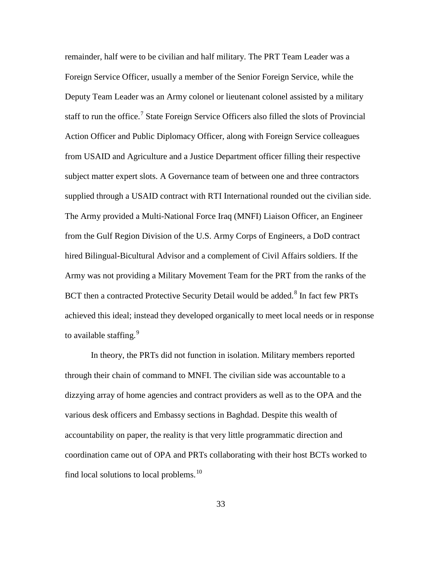remainder, half were to be civilian and half military. The PRT Team Leader was a Foreign Service Officer, usually a member of the Senior Foreign Service, while the Deputy Team Leader was an Army colonel or lieutenant colonel assisted by a military staff to run the office.<sup>[7](#page-81-0)</sup> State Foreign Service Officers also filled the slots of Provincial Action Officer and Public Diplomacy Officer, along with Foreign Service colleagues from USAID and Agriculture and a Justice Department officer filling their respective subject matter expert slots. A Governance team of between one and three contractors supplied through a USAID contract with RTI International rounded out the civilian side. The Army provided a Multi-National Force Iraq (MNFI) Liaison Officer, an Engineer from the Gulf Region Division of the U.S. Army Corps of Engineers, a DoD contract hired Bilingual-Bicultural Advisor and a complement of Civil Affairs soldiers. If the Army was not providing a Military Movement Team for the PRT from the ranks of the BCT then a contracted Protective Security Detail would be added.<sup>[8](#page-81-1)</sup> In fact few PRTs achieved this ideal; instead they developed organically to meet local needs or in response to available staffing.<sup>[9](#page-81-2)</sup>

In theory, the PRTs did not function in isolation. Military members reported through their chain of command to MNFI. The civilian side was accountable to a dizzying array of home agencies and contract providers as well as to the OPA and the various desk officers and Embassy sections in Baghdad. Despite this wealth of accountability on paper, the reality is that very little programmatic direction and coordination came out of OPA and PRTs collaborating with their host BCTs worked to find local solutions to local problems.<sup>[10](#page-81-3)</sup>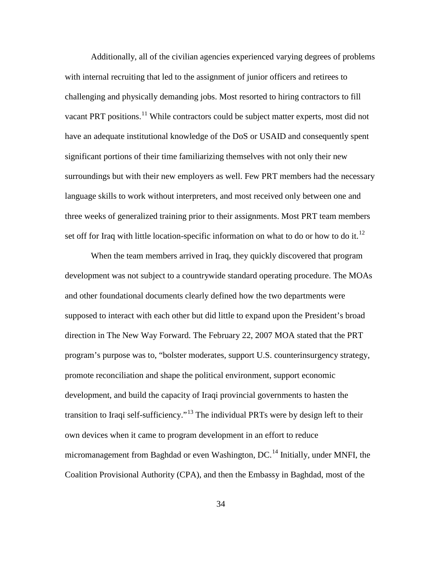Additionally, all of the civilian agencies experienced varying degrees of problems with internal recruiting that led to the assignment of junior officers and retirees to challenging and physically demanding jobs. Most resorted to hiring contractors to fill vacant PRT positions.<sup>[11](#page-82-0)</sup> While contractors could be subject matter experts, most did not have an adequate institutional knowledge of the DoS or USAID and consequently spent significant portions of their time familiarizing themselves with not only their new surroundings but with their new employers as well. Few PRT members had the necessary language skills to work without interpreters, and most received only between one and three weeks of generalized training prior to their assignments. Most PRT team members set off for Iraq with little location-specific information on what to do or how to do it.<sup>[12](#page-82-1)</sup>

When the team members arrived in Iraq, they quickly discovered that program development was not subject to a countrywide standard operating procedure. The MOAs and other foundational documents clearly defined how the two departments were supposed to interact with each other but did little to expand upon the President's broad direction in The New Way Forward. The February 22, 2007 MOA stated that the PRT program's purpose was to, "bolster moderates, support U.S. counterinsurgency strategy, promote reconciliation and shape the political environment, support economic development, and build the capacity of Iraqi provincial governments to hasten the transition to Iraqi self-sufficiency."<sup>[13](#page-82-2)</sup> The individual PRTs were by design left to their own devices when it came to program development in an effort to reduce micromanagement from Baghdad or even Washington, DC.<sup>[14](#page-82-3)</sup> Initially, under MNFI, the Coalition Provisional Authority (CPA), and then the Embassy in Baghdad, most of the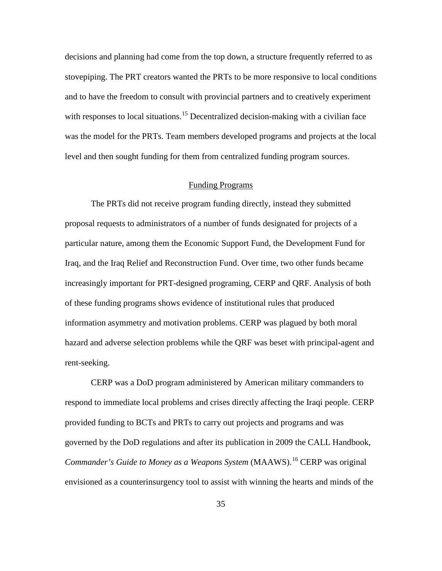decisions and planning had come from the top down, a structure frequently referred to as stovepiping. The PRT creators wanted the PRTs to be more responsive to local conditions and to have the freedom to consult with provincial partners and to creatively experiment with responses to local situations.<sup>[15](#page-83-0)</sup> Decentralized decision-making with a civilian face was the model for the PRTs. Team members developed programs and projects at the local level and then sought funding for them from centralized funding program sources.

## Funding Programs

The PRTs did not receive program funding directly, instead they submitted proposal requests to administrators of a number of funds designated for projects of a particular nature, among them the Economic Support Fund, the Development Fund for Iraq, and the Iraq Relief and Reconstruction Fund. Over time, two other funds became increasingly important for PRT-designed programing, CERP and QRF. Analysis of both of these funding programs shows evidence of institutional rules that produced information asymmetry and motivation problems. CERP was plagued by both moral hazard and adverse selection problems while the QRF was beset with principal-agent and rent-seeking.

CERP was a DoD program administered by American military commanders to respond to immediate local problems and crises directly affecting the Iraqi people. CERP provided funding to BCTs and PRTs to carry out projects and programs and was governed by the DoD regulations and after its publication in 2009 the CALL Handbook, *Commander's Guide to Money as a Weapons System* (MAAWS). [16](#page-83-1) CERP was original envisioned as a counterinsurgency tool to assist with winning the hearts and minds of the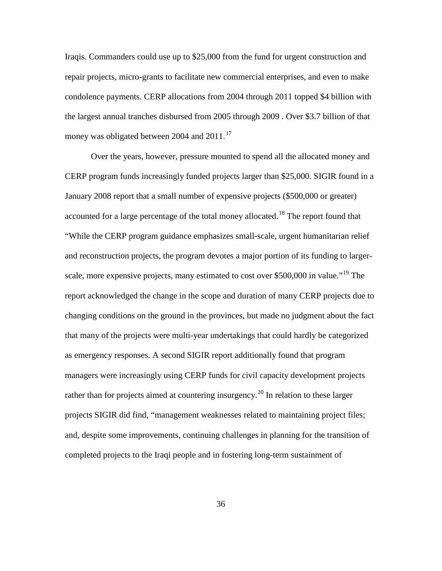Iraqis. Commanders could use up to \$25,000 from the fund for urgent construction and repair projects, micro-grants to facilitate new commercial enterprises, and even to make condolence payments. CERP allocations from 2004 through 2011 topped \$4 billion with the largest annual tranches disbursed from 2005 through 2009 . Over \$3.7 billion of that money was obligated between 2004 and 2011.<sup>[17](#page-84-0)</sup>

Over the years, however, pressure mounted to spend all the allocated money and CERP program funds increasingly funded projects larger than \$25,000. SIGIR found in a January 2008 report that a small number of expensive projects (\$500,000 or greater) accounted for a large percentage of the total money allocated.<sup>[18](#page-84-1)</sup> The report found that "While the CERP program guidance emphasizes small-scale, urgent humanitarian relief and reconstruction projects, the program devotes a major portion of its funding to larger-scale, more expensive projects, many estimated to cost over \$500,000 in value."<sup>[19](#page-84-2)</sup> The report acknowledged the change in the scope and duration of many CERP projects due to changing conditions on the ground in the provinces, but made no judgment about the fact that many of the projects were multi-year undertakings that could hardly be categorized as emergency responses. A second SIGIR report additionally found that program managers were increasingly using CERP funds for civil capacity development projects rather than for projects aimed at countering insurgency.<sup>[20](#page-84-3)</sup> In relation to these larger projects SIGIR did find, "management weaknesses related to maintaining project files; and, despite some improvements, continuing challenges in planning for the transition of completed projects to the Iraqi people and in fostering long-term sustainment of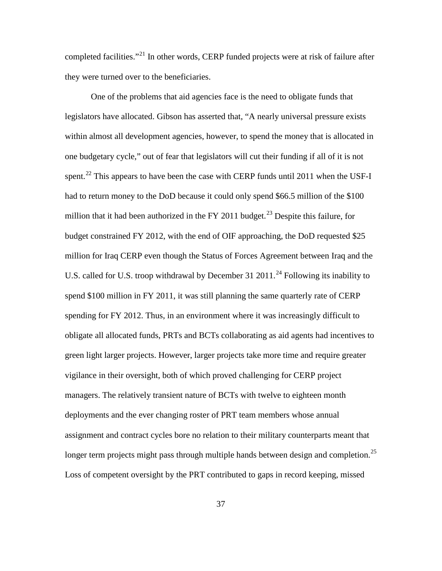completed facilities."<sup>[21](#page-84-4)</sup> In other words, CERP funded projects were at risk of failure after they were turned over to the beneficiaries.

One of the problems that aid agencies face is the need to obligate funds that legislators have allocated. Gibson has asserted that, "A nearly universal pressure exists within almost all development agencies, however, to spend the money that is allocated in one budgetary cycle," out of fear that legislators will cut their funding if all of it is not spent.<sup>[22](#page-84-5)</sup> This appears to have been the case with CERP funds until 2011 when the USF-I had to return money to the DoD because it could only spend \$66.5 million of the \$100 million that it had been authorized in the FY 2011 budget.<sup>[23](#page-84-6)</sup> Despite this failure, for budget constrained FY 2012, with the end of OIF approaching, the DoD requested \$25 million for Iraq CERP even though the Status of Forces Agreement between Iraq and the U.S. called for U.S. troop withdrawal by December 31 2011.<sup>[24](#page-84-7)</sup> Following its inability to spend \$100 million in FY 2011, it was still planning the same quarterly rate of CERP spending for FY 2012. Thus, in an environment where it was increasingly difficult to obligate all allocated funds, PRTs and BCTs collaborating as aid agents had incentives to green light larger projects. However, larger projects take more time and require greater vigilance in their oversight, both of which proved challenging for CERP project managers. The relatively transient nature of BCTs with twelve to eighteen month deployments and the ever changing roster of PRT team members whose annual assignment and contract cycles bore no relation to their military counterparts meant that longer term projects might pass through multiple hands between design and completion.<sup>[25](#page-84-8)</sup> Loss of competent oversight by the PRT contributed to gaps in record keeping, missed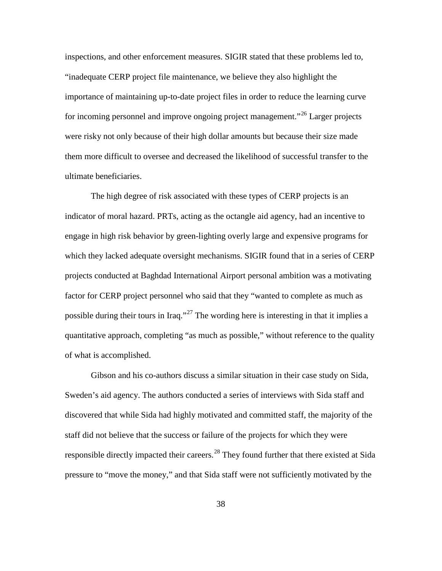inspections, and other enforcement measures. SIGIR stated that these problems led to, "inadequate CERP project file maintenance, we believe they also highlight the importance of maintaining up-to-date project files in order to reduce the learning curve for incoming personnel and improve ongoing project management."<sup>[26](#page-84-9)</sup> Larger projects were risky not only because of their high dollar amounts but because their size made them more difficult to oversee and decreased the likelihood of successful transfer to the ultimate beneficiaries.

The high degree of risk associated with these types of CERP projects is an indicator of moral hazard. PRTs, acting as the octangle aid agency, had an incentive to engage in high risk behavior by green-lighting overly large and expensive programs for which they lacked adequate oversight mechanisms. SIGIR found that in a series of CERP projects conducted at Baghdad International Airport personal ambition was a motivating factor for CERP project personnel who said that they "wanted to complete as much as possible during their tours in Iraq."<sup>[27](#page-84-10)</sup> The wording here is interesting in that it implies a quantitative approach, completing "as much as possible," without reference to the quality of what is accomplished.

Gibson and his co-authors discuss a similar situation in their case study on Sida, Sweden's aid agency. The authors conducted a series of interviews with Sida staff and discovered that while Sida had highly motivated and committed staff, the majority of the staff did not believe that the success or failure of the projects for which they were responsible directly impacted their careers.<sup>[28](#page-84-11)</sup> They found further that there existed at Sida pressure to "move the money," and that Sida staff were not sufficiently motivated by the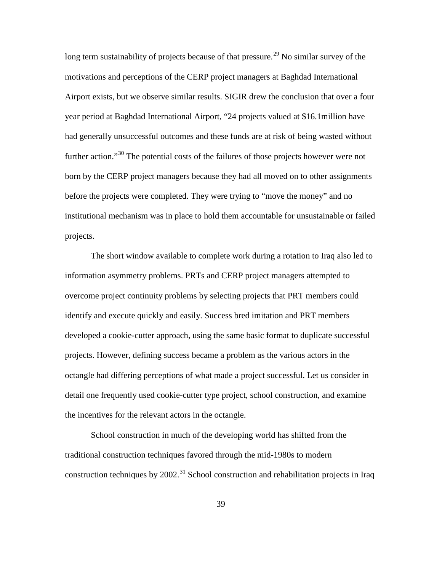long term sustainability of projects because of that pressure.<sup>[29](#page-84-12)</sup> No similar survey of the motivations and perceptions of the CERP project managers at Baghdad International Airport exists, but we observe similar results. SIGIR drew the conclusion that over a four year period at Baghdad International Airport, "24 projects valued at \$16.1million have had generally unsuccessful outcomes and these funds are at risk of being wasted without further action."<sup>[30](#page-84-13)</sup> The potential costs of the failures of those projects however were not born by the CERP project managers because they had all moved on to other assignments before the projects were completed. They were trying to "move the money" and no institutional mechanism was in place to hold them accountable for unsustainable or failed projects.

The short window available to complete work during a rotation to Iraq also led to information asymmetry problems. PRTs and CERP project managers attempted to overcome project continuity problems by selecting projects that PRT members could identify and execute quickly and easily. Success bred imitation and PRT members developed a cookie-cutter approach, using the same basic format to duplicate successful projects. However, defining success became a problem as the various actors in the octangle had differing perceptions of what made a project successful. Let us consider in detail one frequently used cookie-cutter type project, school construction, and examine the incentives for the relevant actors in the octangle.

School construction in much of the developing world has shifted from the traditional construction techniques favored through the mid-1980s to modern construction techniques by 2002.<sup>[31](#page-84-14)</sup> School construction and rehabilitation projects in Iraq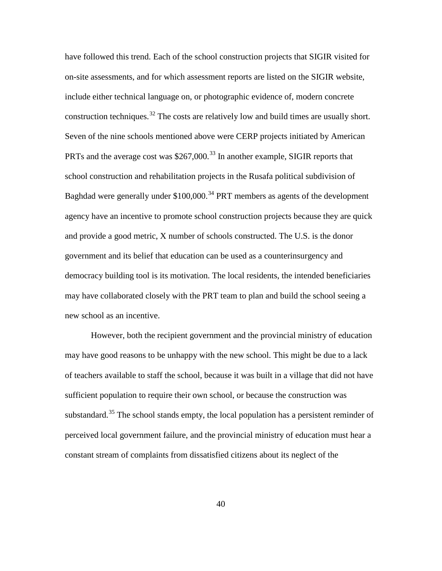have followed this trend. Each of the school construction projects that SIGIR visited for on-site assessments, and for which assessment reports are listed on the SIGIR website, include either technical language on, or photographic evidence of, modern concrete construction techniques.<sup>[32](#page-84-15)</sup> The costs are relatively low and build times are usually short. Seven of the nine schools mentioned above were CERP projects initiated by American PRTs and the average cost was \$267,000.<sup>[33](#page-84-16)</sup> In another example, SIGIR reports that school construction and rehabilitation projects in the Rusafa political subdivision of Baghdad were generally under  $$100,000$ <sup>[34](#page-84-17)</sup> PRT members as agents of the development agency have an incentive to promote school construction projects because they are quick and provide a good metric, X number of schools constructed. The U.S. is the donor government and its belief that education can be used as a counterinsurgency and democracy building tool is its motivation. The local residents, the intended beneficiaries may have collaborated closely with the PRT team to plan and build the school seeing a new school as an incentive.

However, both the recipient government and the provincial ministry of education may have good reasons to be unhappy with the new school. This might be due to a lack of teachers available to staff the school, because it was built in a village that did not have sufficient population to require their own school, or because the construction was substandard.<sup>[35](#page-84-18)</sup> The school stands empty, the local population has a persistent reminder of perceived local government failure, and the provincial ministry of education must hear a constant stream of complaints from dissatisfied citizens about its neglect of the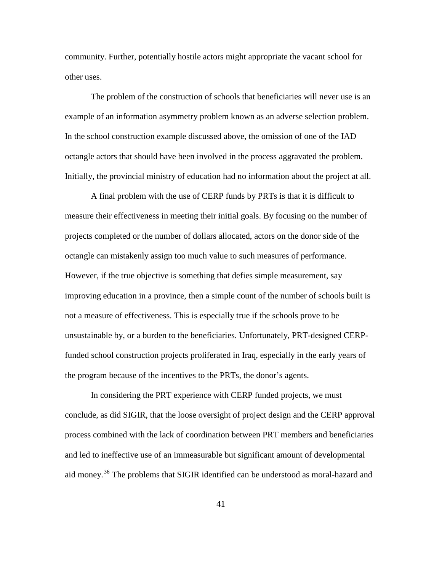community. Further, potentially hostile actors might appropriate the vacant school for other uses.

The problem of the construction of schools that beneficiaries will never use is an example of an information asymmetry problem known as an adverse selection problem. In the school construction example discussed above, the omission of one of the IAD octangle actors that should have been involved in the process aggravated the problem. Initially, the provincial ministry of education had no information about the project at all.

A final problem with the use of CERP funds by PRTs is that it is difficult to measure their effectiveness in meeting their initial goals. By focusing on the number of projects completed or the number of dollars allocated, actors on the donor side of the octangle can mistakenly assign too much value to such measures of performance. However, if the true objective is something that defies simple measurement, say improving education in a province, then a simple count of the number of schools built is not a measure of effectiveness. This is especially true if the schools prove to be unsustainable by, or a burden to the beneficiaries. Unfortunately, PRT-designed CERPfunded school construction projects proliferated in Iraq, especially in the early years of the program because of the incentives to the PRTs, the donor's agents.

In considering the PRT experience with CERP funded projects, we must conclude, as did SIGIR, that the loose oversight of project design and the CERP approval process combined with the lack of coordination between PRT members and beneficiaries and led to ineffective use of an immeasurable but significant amount of developmental aid money.<sup>[36](#page-84-19)</sup> The problems that SIGIR identified can be understood as moral-hazard and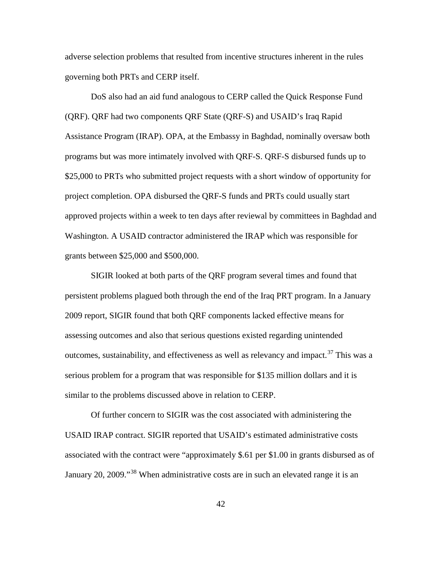adverse selection problems that resulted from incentive structures inherent in the rules governing both PRTs and CERP itself.

DoS also had an aid fund analogous to CERP called the Quick Response Fund (QRF). QRF had two components QRF State (QRF-S) and USAID's Iraq Rapid Assistance Program (IRAP). OPA, at the Embassy in Baghdad, nominally oversaw both programs but was more intimately involved with QRF-S. QRF-S disbursed funds up to \$25,000 to PRTs who submitted project requests with a short window of opportunity for project completion. OPA disbursed the QRF-S funds and PRTs could usually start approved projects within a week to ten days after reviewal by committees in Baghdad and Washington. A USAID contractor administered the IRAP which was responsible for grants between \$25,000 and \$500,000.

SIGIR looked at both parts of the QRF program several times and found that persistent problems plagued both through the end of the Iraq PRT program. In a January 2009 report, SIGIR found that both QRF components lacked effective means for assessing outcomes and also that serious questions existed regarding unintended outcomes, sustainability, and effectiveness as well as relevancy and impact.<sup>[37](#page-84-20)</sup> This was a serious problem for a program that was responsible for \$135 million dollars and it is similar to the problems discussed above in relation to CERP.

Of further concern to SIGIR was the cost associated with administering the USAID IRAP contract. SIGIR reported that USAID's estimated administrative costs associated with the contract were "approximately \$.61 per \$1.00 in grants disbursed as of January 20, 2009."[38](#page-84-21) When administrative costs are in such an elevated range it is an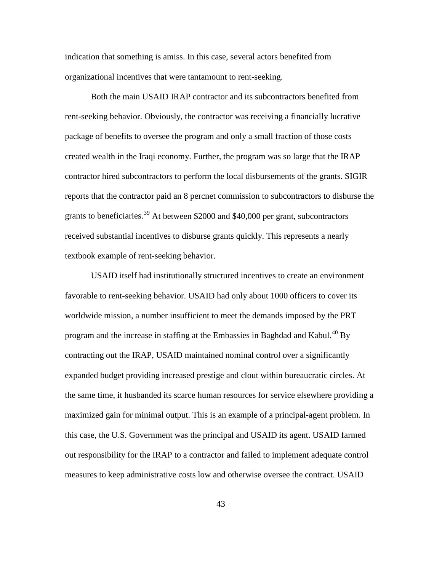indication that something is amiss. In this case, several actors benefited from organizational incentives that were tantamount to rent-seeking.

Both the main USAID IRAP contractor and its subcontractors benefited from rent-seeking behavior. Obviously, the contractor was receiving a financially lucrative package of benefits to oversee the program and only a small fraction of those costs created wealth in the Iraqi economy. Further, the program was so large that the IRAP contractor hired subcontractors to perform the local disbursements of the grants. SIGIR reports that the contractor paid an 8 percnet commission to subcontractors to disburse the grants to beneficiaries.<sup>[39](#page-84-22)</sup> At between \$2000 and \$40,000 per grant, subcontractors received substantial incentives to disburse grants quickly. This represents a nearly textbook example of rent-seeking behavior.

USAID itself had institutionally structured incentives to create an environment favorable to rent-seeking behavior. USAID had only about 1000 officers to cover its worldwide mission, a number insufficient to meet the demands imposed by the PRT program and the increase in staffing at the Embassies in Baghdad and Kabul.<sup>[40](#page-84-23)</sup> By contracting out the IRAP, USAID maintained nominal control over a significantly expanded budget providing increased prestige and clout within bureaucratic circles. At the same time, it husbanded its scarce human resources for service elsewhere providing a maximized gain for minimal output. This is an example of a principal-agent problem. In this case, the U.S. Government was the principal and USAID its agent. USAID farmed out responsibility for the IRAP to a contractor and failed to implement adequate control measures to keep administrative costs low and otherwise oversee the contract. USAID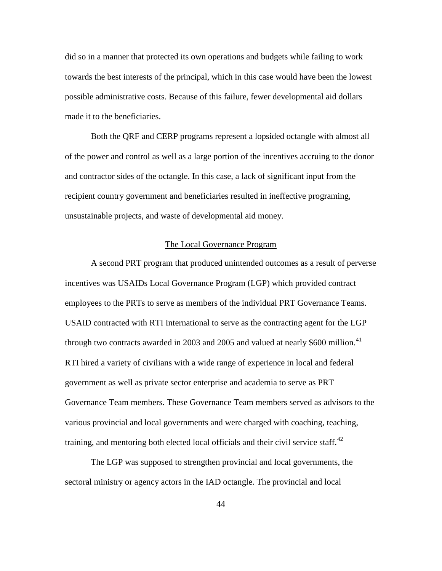did so in a manner that protected its own operations and budgets while failing to work towards the best interests of the principal, which in this case would have been the lowest possible administrative costs. Because of this failure, fewer developmental aid dollars made it to the beneficiaries.

Both the QRF and CERP programs represent a lopsided octangle with almost all of the power and control as well as a large portion of the incentives accruing to the donor and contractor sides of the octangle. In this case, a lack of significant input from the recipient country government and beneficiaries resulted in ineffective programing, unsustainable projects, and waste of developmental aid money.

## The Local Governance Program

A second PRT program that produced unintended outcomes as a result of perverse incentives was USAIDs Local Governance Program (LGP) which provided contract employees to the PRTs to serve as members of the individual PRT Governance Teams. USAID contracted with RTI International to serve as the contracting agent for the LGP through two contracts awarded in 2003 and 2005 and valued at nearly \$600 million.<sup>[41](#page-84-24)</sup> RTI hired a variety of civilians with a wide range of experience in local and federal government as well as private sector enterprise and academia to serve as PRT Governance Team members. These Governance Team members served as advisors to the various provincial and local governments and were charged with coaching, teaching, training, and mentoring both elected local officials and their civil service staff.<sup>[42](#page-84-25)</sup>

The LGP was supposed to strengthen provincial and local governments, the sectoral ministry or agency actors in the IAD octangle. The provincial and local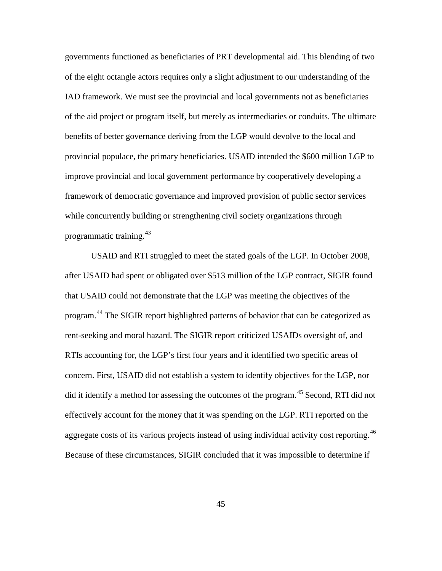governments functioned as beneficiaries of PRT developmental aid. This blending of two of the eight octangle actors requires only a slight adjustment to our understanding of the IAD framework. We must see the provincial and local governments not as beneficiaries of the aid project or program itself, but merely as intermediaries or conduits. The ultimate benefits of better governance deriving from the LGP would devolve to the local and provincial populace, the primary beneficiaries. USAID intended the \$600 million LGP to improve provincial and local government performance by cooperatively developing a framework of democratic governance and improved provision of public sector services while concurrently building or strengthening civil society organizations through programmatic training.[43](#page-84-26)

USAID and RTI struggled to meet the stated goals of the LGP. In October 2008, after USAID had spent or obligated over \$513 million of the LGP contract, SIGIR found that USAID could not demonstrate that the LGP was meeting the objectives of the program.<sup>[44](#page-84-27)</sup> The SIGIR report highlighted patterns of behavior that can be categorized as rent-seeking and moral hazard. The SIGIR report criticized USAIDs oversight of, and RTIs accounting for, the LGP's first four years and it identified two specific areas of concern. First, USAID did not establish a system to identify objectives for the LGP, nor did it identify a method for assessing the outcomes of the program.<sup>[45](#page-84-28)</sup> Second, RTI did not effectively account for the money that it was spending on the LGP. RTI reported on the aggregate costs of its various projects instead of using individual activity cost reporting.  $46$ Because of these circumstances, SIGIR concluded that it was impossible to determine if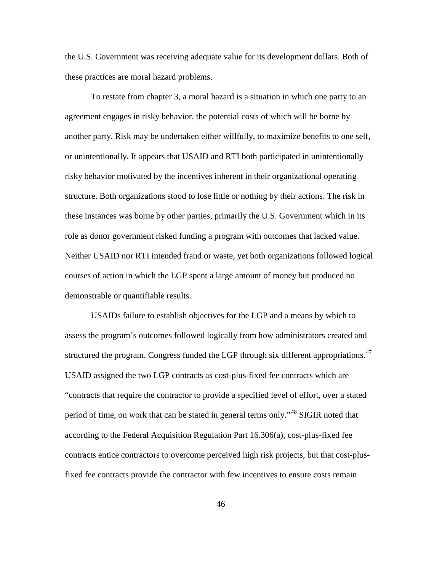the U.S. Government was receiving adequate value for its development dollars. Both of these practices are moral hazard problems.

To restate from chapter 3, a moral hazard is a situation in which one party to an agreement engages in risky behavior, the potential costs of which will be borne by another party. Risk may be undertaken either willfully, to maximize benefits to one self, or unintentionally. It appears that USAID and RTI both participated in unintentionally risky behavior motivated by the incentives inherent in their organizational operating structure. Both organizations stood to lose little or nothing by their actions. The risk in these instances was borne by other parties, primarily the U.S. Government which in its role as donor government risked funding a program with outcomes that lacked value. Neither USAID nor RTI intended fraud or waste, yet both organizations followed logical courses of action in which the LGP spent a large amount of money but produced no demonstrable or quantifiable results.

USAIDs failure to establish objectives for the LGP and a means by which to assess the program's outcomes followed logically from how administrators created and structured the program. Congress funded the LGP through six different appropriations.<sup>[47](#page-84-30)</sup> USAID assigned the two LGP contracts as cost-plus-fixed fee contracts which are "contracts that require the contractor to provide a specified level of effort, over a stated period of time, on work that can be stated in general terms only."[48](#page-84-1) SIGIR noted that according to the Federal Acquisition Regulation Part 16.306(a), cost-plus-fixed fee contracts entice contractors to overcome perceived high risk projects, but that cost-plusfixed fee contracts provide the contractor with few incentives to ensure costs remain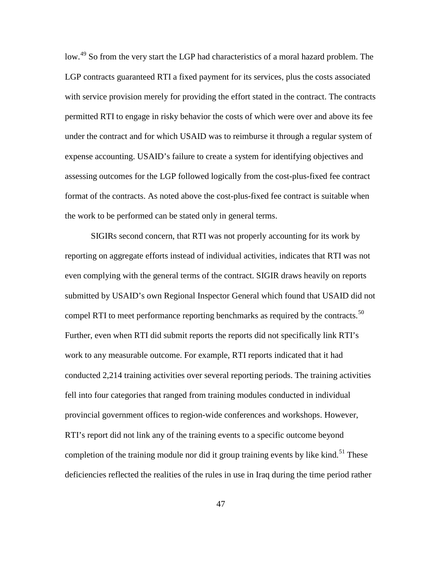low.<sup>[49](#page-84-31)</sup> So from the very start the LGP had characteristics of a moral hazard problem. The LGP contracts guaranteed RTI a fixed payment for its services, plus the costs associated with service provision merely for providing the effort stated in the contract. The contracts permitted RTI to engage in risky behavior the costs of which were over and above its fee under the contract and for which USAID was to reimburse it through a regular system of expense accounting. USAID's failure to create a system for identifying objectives and assessing outcomes for the LGP followed logically from the cost-plus-fixed fee contract format of the contracts. As noted above the cost-plus-fixed fee contract is suitable when the work to be performed can be stated only in general terms.

SIGIRs second concern, that RTI was not properly accounting for its work by reporting on aggregate efforts instead of individual activities, indicates that RTI was not even complying with the general terms of the contract. SIGIR draws heavily on reports submitted by USAID's own Regional Inspector General which found that USAID did not compel RTI to meet performance reporting benchmarks as required by the contracts.<sup>[50](#page-84-32)</sup> Further, even when RTI did submit reports the reports did not specifically link RTI's work to any measurable outcome. For example, RTI reports indicated that it had conducted 2,214 training activities over several reporting periods. The training activities fell into four categories that ranged from training modules conducted in individual provincial government offices to region-wide conferences and workshops. However, RTI's report did not link any of the training events to a specific outcome beyond completion of the training module nor did it group training events by like kind.<sup>[51](#page-84-33)</sup> These deficiencies reflected the realities of the rules in use in Iraq during the time period rather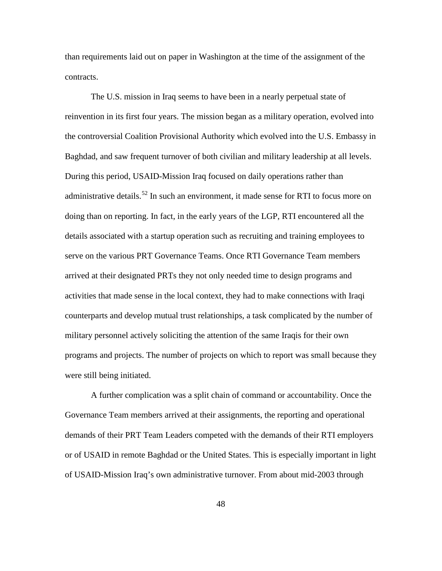than requirements laid out on paper in Washington at the time of the assignment of the contracts.

The U.S. mission in Iraq seems to have been in a nearly perpetual state of reinvention in its first four years. The mission began as a military operation, evolved into the controversial Coalition Provisional Authority which evolved into the U.S. Embassy in Baghdad, and saw frequent turnover of both civilian and military leadership at all levels. During this period, USAID-Mission Iraq focused on daily operations rather than administrative details.<sup>[52](#page-84-34)</sup> In such an environment, it made sense for RTI to focus more on doing than on reporting. In fact, in the early years of the LGP, RTI encountered all the details associated with a startup operation such as recruiting and training employees to serve on the various PRT Governance Teams. Once RTI Governance Team members arrived at their designated PRTs they not only needed time to design programs and activities that made sense in the local context, they had to make connections with Iraqi counterparts and develop mutual trust relationships, a task complicated by the number of military personnel actively soliciting the attention of the same Iraqis for their own programs and projects. The number of projects on which to report was small because they were still being initiated.

A further complication was a split chain of command or accountability. Once the Governance Team members arrived at their assignments, the reporting and operational demands of their PRT Team Leaders competed with the demands of their RTI employers or of USAID in remote Baghdad or the United States. This is especially important in light of USAID-Mission Iraq's own administrative turnover. From about mid-2003 through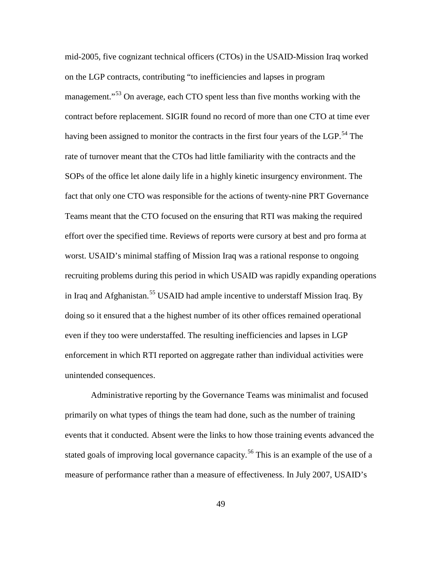mid-2005, five cognizant technical officers (CTOs) in the USAID-Mission Iraq worked on the LGP contracts, contributing "to inefficiencies and lapses in program management."<sup>[53](#page-84-35)</sup> On average, each CTO spent less than five months working with the contract before replacement. SIGIR found no record of more than one CTO at time ever having been assigned to monitor the contracts in the first four years of the LGP.<sup>[54](#page-84-36)</sup> The rate of turnover meant that the CTOs had little familiarity with the contracts and the SOPs of the office let alone daily life in a highly kinetic insurgency environment. The fact that only one CTO was responsible for the actions of twenty-nine PRT Governance Teams meant that the CTO focused on the ensuring that RTI was making the required effort over the specified time. Reviews of reports were cursory at best and pro forma at worst. USAID's minimal staffing of Mission Iraq was a rational response to ongoing recruiting problems during this period in which USAID was rapidly expanding operations in Iraq and Afghanistan.<sup>[55](#page-84-37)</sup> USAID had ample incentive to understaff Mission Iraq. By doing so it ensured that a the highest number of its other offices remained operational even if they too were understaffed. The resulting inefficiencies and lapses in LGP enforcement in which RTI reported on aggregate rather than individual activities were unintended consequences.

Administrative reporting by the Governance Teams was minimalist and focused primarily on what types of things the team had done, such as the number of training events that it conducted. Absent were the links to how those training events advanced the stated goals of improving local governance capacity.<sup>[56](#page-84-38)</sup> This is an example of the use of a measure of performance rather than a measure of effectiveness. In July 2007, USAID's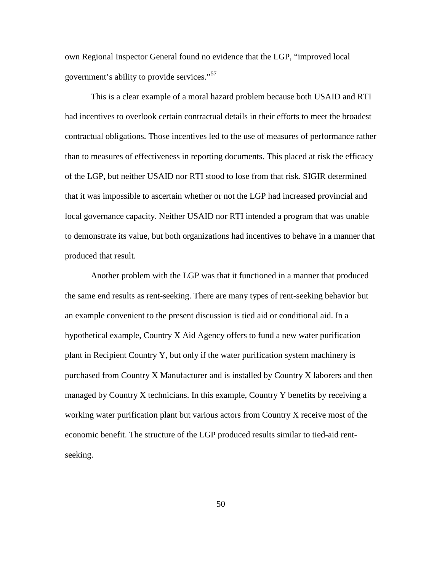own Regional Inspector General found no evidence that the LGP, "improved local government's ability to provide services."[57](#page-84-39)

This is a clear example of a moral hazard problem because both USAID and RTI had incentives to overlook certain contractual details in their efforts to meet the broadest contractual obligations. Those incentives led to the use of measures of performance rather than to measures of effectiveness in reporting documents. This placed at risk the efficacy of the LGP, but neither USAID nor RTI stood to lose from that risk. SIGIR determined that it was impossible to ascertain whether or not the LGP had increased provincial and local governance capacity. Neither USAID nor RTI intended a program that was unable to demonstrate its value, but both organizations had incentives to behave in a manner that produced that result.

Another problem with the LGP was that it functioned in a manner that produced the same end results as rent-seeking. There are many types of rent-seeking behavior but an example convenient to the present discussion is tied aid or conditional aid. In a hypothetical example, Country X Aid Agency offers to fund a new water purification plant in Recipient Country Y, but only if the water purification system machinery is purchased from Country X Manufacturer and is installed by Country X laborers and then managed by Country X technicians. In this example, Country Y benefits by receiving a working water purification plant but various actors from Country X receive most of the economic benefit. The structure of the LGP produced results similar to tied-aid rentseeking.

50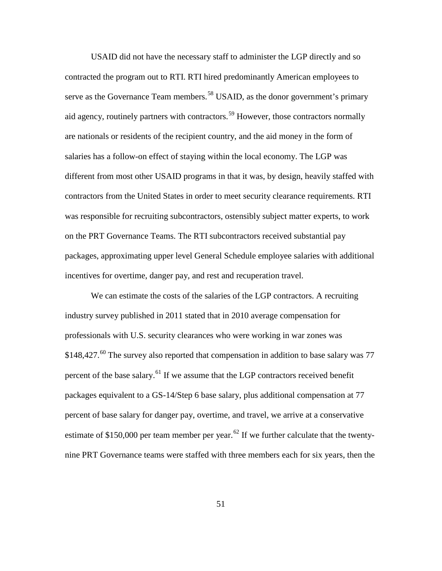USAID did not have the necessary staff to administer the LGP directly and so contracted the program out to RTI. RTI hired predominantly American employees to serve as the Governance Team members.<sup>[58](#page-84-40)</sup> USAID, as the donor government's primary aid agency, routinely partners with contractors.<sup>[59](#page-84-41)</sup> However, those contractors normally are nationals or residents of the recipient country, and the aid money in the form of salaries has a follow-on effect of staying within the local economy. The LGP was different from most other USAID programs in that it was, by design, heavily staffed with contractors from the United States in order to meet security clearance requirements. RTI was responsible for recruiting subcontractors, ostensibly subject matter experts, to work on the PRT Governance Teams. The RTI subcontractors received substantial pay packages, approximating upper level General Schedule employee salaries with additional incentives for overtime, danger pay, and rest and recuperation travel.

We can estimate the costs of the salaries of the LGP contractors. A recruiting industry survey published in 2011 stated that in 2010 average compensation for professionals with U.S. security clearances who were working in war zones was  $$148,427.$ <sup>[60](#page-84-42)</sup> The survey also reported that compensation in addition to base salary was 77 percent of the base salary.<sup>[61](#page-84-43)</sup> If we assume that the LGP contractors received benefit packages equivalent to a GS-14/Step 6 base salary, plus additional compensation at 77 percent of base salary for danger pay, overtime, and travel, we arrive at a conservative estimate of \$150,000 per team member per year.<sup>[62](#page-84-44)</sup> If we further calculate that the twentynine PRT Governance teams were staffed with three members each for six years, then the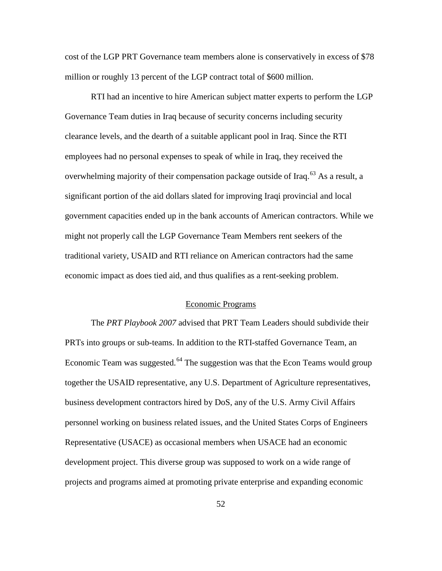cost of the LGP PRT Governance team members alone is conservatively in excess of \$78 million or roughly 13 percent of the LGP contract total of \$600 million.

RTI had an incentive to hire American subject matter experts to perform the LGP Governance Team duties in Iraq because of security concerns including security clearance levels, and the dearth of a suitable applicant pool in Iraq. Since the RTI employees had no personal expenses to speak of while in Iraq, they received the overwhelming majority of their compensation package outside of Iraq.<sup>[63](#page-84-45)</sup> As a result, a significant portion of the aid dollars slated for improving Iraqi provincial and local government capacities ended up in the bank accounts of American contractors. While we might not properly call the LGP Governance Team Members rent seekers of the traditional variety, USAID and RTI reliance on American contractors had the same economic impact as does tied aid, and thus qualifies as a rent-seeking problem.

#### Economic Programs

The *PRT Playbook 2007* advised that PRT Team Leaders should subdivide their PRTs into groups or sub-teams. In addition to the RTI-staffed Governance Team, an Economic Team was suggested.<sup>[64](#page-84-46)</sup> The suggestion was that the Econ Teams would group together the USAID representative, any U.S. Department of Agriculture representatives, business development contractors hired by DoS, any of the U.S. Army Civil Affairs personnel working on business related issues, and the United States Corps of Engineers Representative (USACE) as occasional members when USACE had an economic development project. This diverse group was supposed to work on a wide range of projects and programs aimed at promoting private enterprise and expanding economic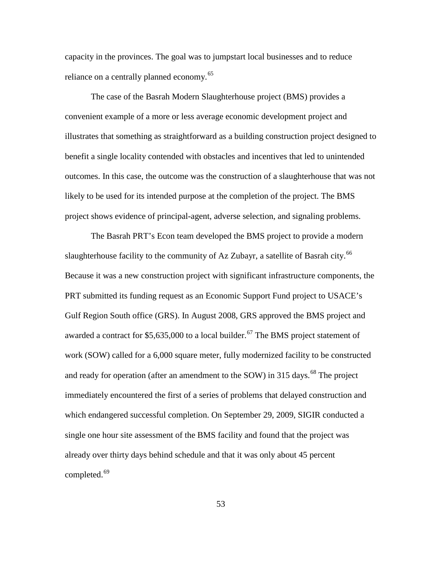capacity in the provinces. The goal was to jumpstart local businesses and to reduce reliance on a centrally planned economy.<sup>[65](#page-84-47)</sup>

The case of the Basrah Modern Slaughterhouse project (BMS) provides a convenient example of a more or less average economic development project and illustrates that something as straightforward as a building construction project designed to benefit a single locality contended with obstacles and incentives that led to unintended outcomes. In this case, the outcome was the construction of a slaughterhouse that was not likely to be used for its intended purpose at the completion of the project. The BMS project shows evidence of principal-agent, adverse selection, and signaling problems.

The Basrah PRT's Econ team developed the BMS project to provide a modern slaughterhouse facility to the community of Az Zubayr, a satellite of Basrah city.<sup>[66](#page-84-48)</sup> Because it was a new construction project with significant infrastructure components, the PRT submitted its funding request as an Economic Support Fund project to USACE's Gulf Region South office (GRS). In August 2008, GRS approved the BMS project and awarded a contract for  $$5,635,000$  to a local builder.<sup>[67](#page-84-49)</sup> The BMS project statement of work (SOW) called for a 6,000 square meter, fully modernized facility to be constructed and ready for operation (after an amendment to the SOW) in 315 days.<sup>[68](#page-84-50)</sup> The project immediately encountered the first of a series of problems that delayed construction and which endangered successful completion. On September 29, 2009, SIGIR conducted a single one hour site assessment of the BMS facility and found that the project was already over thirty days behind schedule and that it was only about 45 percent completed.<sup>[69](#page-84-1)</sup>

53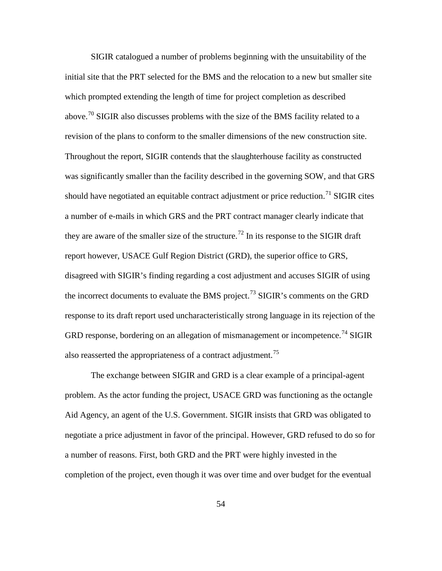SIGIR catalogued a number of problems beginning with the unsuitability of the initial site that the PRT selected for the BMS and the relocation to a new but smaller site which prompted extending the length of time for project completion as described above.[70](#page-84-31) SIGIR also discusses problems with the size of the BMS facility related to a revision of the plans to conform to the smaller dimensions of the new construction site. Throughout the report, SIGIR contends that the slaughterhouse facility as constructed was significantly smaller than the facility described in the governing SOW, and that GRS should have negotiated an equitable contract adjustment or price reduction.<sup>[71](#page-84-32)</sup> SIGIR cites a number of e-mails in which GRS and the PRT contract manager clearly indicate that they are aware of the smaller size of the structure.<sup>[72](#page-84-33)</sup> In its response to the SIGIR draft report however, USACE Gulf Region District (GRD), the superior office to GRS, disagreed with SIGIR's finding regarding a cost adjustment and accuses SIGIR of using the incorrect documents to evaluate the BMS project.<sup>[73](#page-84-34)</sup> SIGIR's comments on the GRD response to its draft report used uncharacteristically strong language in its rejection of the GRD response, bordering on an allegation of mismanagement or incompetence.<sup>[74](#page-84-35)</sup> SIGIR also reasserted the appropriateness of a contract adjustment.<sup>[75](#page-84-36)</sup>

The exchange between SIGIR and GRD is a clear example of a principal-agent problem. As the actor funding the project, USACE GRD was functioning as the octangle Aid Agency, an agent of the U.S. Government. SIGIR insists that GRD was obligated to negotiate a price adjustment in favor of the principal. However, GRD refused to do so for a number of reasons. First, both GRD and the PRT were highly invested in the completion of the project, even though it was over time and over budget for the eventual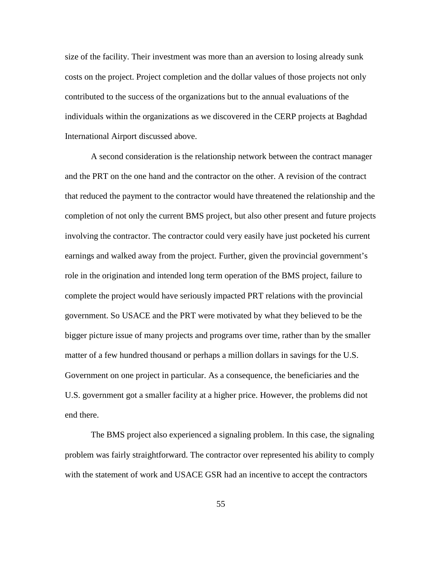size of the facility. Their investment was more than an aversion to losing already sunk costs on the project. Project completion and the dollar values of those projects not only contributed to the success of the organizations but to the annual evaluations of the individuals within the organizations as we discovered in the CERP projects at Baghdad International Airport discussed above.

A second consideration is the relationship network between the contract manager and the PRT on the one hand and the contractor on the other. A revision of the contract that reduced the payment to the contractor would have threatened the relationship and the completion of not only the current BMS project, but also other present and future projects involving the contractor. The contractor could very easily have just pocketed his current earnings and walked away from the project. Further, given the provincial government's role in the origination and intended long term operation of the BMS project, failure to complete the project would have seriously impacted PRT relations with the provincial government. So USACE and the PRT were motivated by what they believed to be the bigger picture issue of many projects and programs over time, rather than by the smaller matter of a few hundred thousand or perhaps a million dollars in savings for the U.S. Government on one project in particular. As a consequence, the beneficiaries and the U.S. government got a smaller facility at a higher price. However, the problems did not end there.

The BMS project also experienced a signaling problem. In this case, the signaling problem was fairly straightforward. The contractor over represented his ability to comply with the statement of work and USACE GSR had an incentive to accept the contractors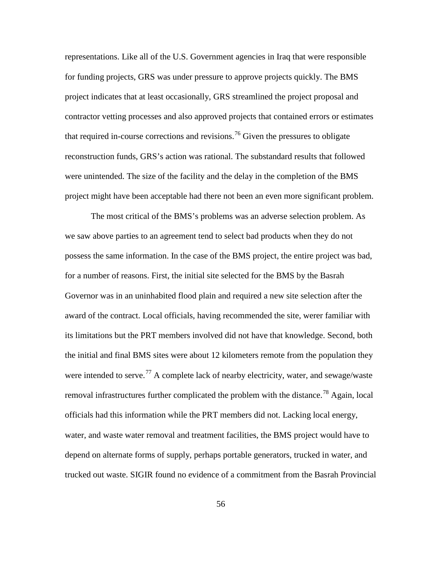representations. Like all of the U.S. Government agencies in Iraq that were responsible for funding projects, GRS was under pressure to approve projects quickly. The BMS project indicates that at least occasionally, GRS streamlined the project proposal and contractor vetting processes and also approved projects that contained errors or estimates that required in-course corrections and revisions.<sup>[76](#page-84-37)</sup> Given the pressures to obligate reconstruction funds, GRS's action was rational. The substandard results that followed were unintended. The size of the facility and the delay in the completion of the BMS project might have been acceptable had there not been an even more significant problem.

The most critical of the BMS's problems was an adverse selection problem. As we saw above parties to an agreement tend to select bad products when they do not possess the same information. In the case of the BMS project, the entire project was bad, for a number of reasons. First, the initial site selected for the BMS by the Basrah Governor was in an uninhabited flood plain and required a new site selection after the award of the contract. Local officials, having recommended the site, werer familiar with its limitations but the PRT members involved did not have that knowledge. Second, both the initial and final BMS sites were about 12 kilometers remote from the population they were intended to serve.<sup>[77](#page-84-38)</sup> A complete lack of nearby electricity, water, and sewage/waste removal infrastructures further complicated the problem with the distance.<sup>[78](#page-84-39)</sup> Again, local officials had this information while the PRT members did not. Lacking local energy, water, and waste water removal and treatment facilities, the BMS project would have to depend on alternate forms of supply, perhaps portable generators, trucked in water, and trucked out waste. SIGIR found no evidence of a commitment from the Basrah Provincial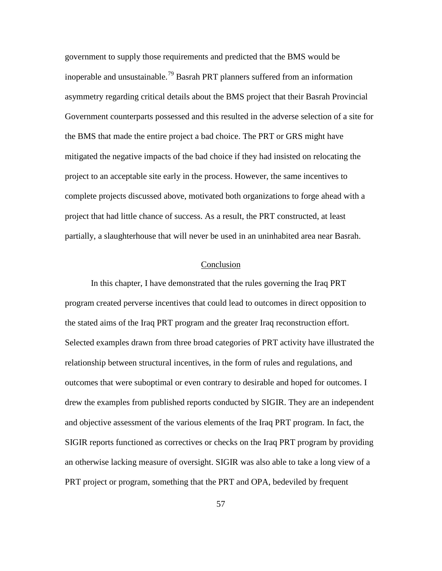government to supply those requirements and predicted that the BMS would be inoperable and unsustainable.<sup>[79](#page-84-40)</sup> Basrah PRT planners suffered from an information asymmetry regarding critical details about the BMS project that their Basrah Provincial Government counterparts possessed and this resulted in the adverse selection of a site for the BMS that made the entire project a bad choice. The PRT or GRS might have mitigated the negative impacts of the bad choice if they had insisted on relocating the project to an acceptable site early in the process. However, the same incentives to complete projects discussed above, motivated both organizations to forge ahead with a project that had little chance of success. As a result, the PRT constructed, at least partially, a slaughterhouse that will never be used in an uninhabited area near Basrah.

# Conclusion

In this chapter, I have demonstrated that the rules governing the Iraq PRT program created perverse incentives that could lead to outcomes in direct opposition to the stated aims of the Iraq PRT program and the greater Iraq reconstruction effort. Selected examples drawn from three broad categories of PRT activity have illustrated the relationship between structural incentives, in the form of rules and regulations, and outcomes that were suboptimal or even contrary to desirable and hoped for outcomes. I drew the examples from published reports conducted by SIGIR. They are an independent and objective assessment of the various elements of the Iraq PRT program. In fact, the SIGIR reports functioned as correctives or checks on the Iraq PRT program by providing an otherwise lacking measure of oversight. SIGIR was also able to take a long view of a PRT project or program, something that the PRT and OPA, bedeviled by frequent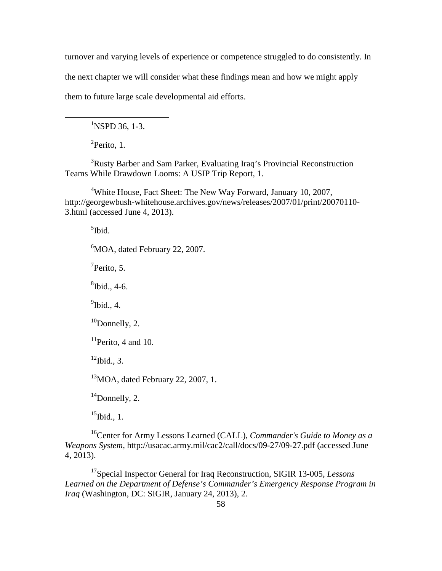turnover and varying levels of experience or competence struggled to do consistently. In

the next chapter we will consider what these findings mean and how we might apply

them to future large scale developmental aid efforts.

 ${}^{1}$ NSPD 36, 1-3.

<sup>2</sup>Perito, 1.

 $\overline{a}$ 

<sup>3</sup>Rusty Barber and Sam Parker, Evaluating Iraq's Provincial Reconstruction Teams While Drawdown Looms: A USIP Trip Report, 1.

<sup>4</sup>White House, Fact Sheet: The New Way Forward, January 10, 2007, http://georgewbush-whitehouse.archives.gov/news/releases/2007/01/print/20070110- 3.html (accessed June 4, 2013).

<sup>5</sup>Ibid.

<sup>6</sup>MOA, dated February 22, 2007.

 $7$ Perito, 5.

 ${}^{8}$ Ibid., 4-6.

 $<sup>9</sup>$ Ibid., 4.</sup>

 $10$ Donnelly, 2.

 $11$ Perito, 4 and 10.

 $12$ Ibid., 3.

 $13$ MOA, dated February 22, 2007, 1.

<sup>14</sup>Donnelly, 2.

 $^{15}$ Ibid., 1.

16Center for Army Lessons Learned (CALL), *Commander's Guide to Money as a Weapons System,* http://usacac.army.mil/cac2/call/docs/09-27/09-27.pdf (accessed June 4, 2013).

17Special Inspector General for Iraq Reconstruction, SIGIR 13-005, *Lessons Learned on the Department of Defense's Commander's Emergency Response Program in Iraq* (Washington, DC: SIGIR, January 24, 2013), 2.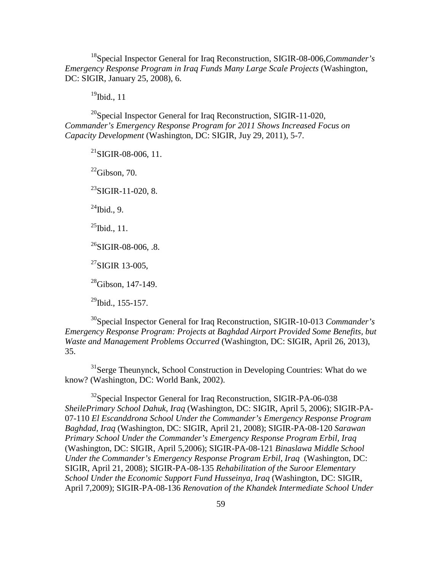18Special Inspector General for Iraq Reconstruction, SIGIR-08-006,*Commander's Emergency Response Program in Iraq Funds Many Large Scale Projects* (Washington, DC: SIGIR, January 25, 2008), 6.

 $19$ Ibid., 11

 $^{20}$ Special Inspector General for Iraq Reconstruction, SIGIR-11-020, *Commander's Emergency Response Program for 2011 Shows Increased Focus on Capacity Development* (Washington, DC: SIGIR, Juy 29, 2011), 5-7.

 $^{21}$ SIGIR-08-006, 11.  $^{22}$ Gibson, 70.  $^{23}$ SIGIR-11-020, 8.  $^{24}$ Ibid., 9.  $^{25}$ Ibid., 11.  $^{26}$ SIGIR-08-006, .8.  $27$ SIGIR 13-005,  $^{28}$ Gibson, 147-149.  $^{29}$ Ibid., 155-157.

30Special Inspector General for Iraq Reconstruction, SIGIR-10-013 *Commander's Emergency Response Program: Projects at Baghdad Airport Provided Some Benefits, but Waste and Management Problems Occurred* (Washington, DC: SIGIR, April 26, 2013), 35.

<sup>31</sup>Serge Theunynck, School Construction in Developing Countries: What do we know? (Washington, DC: World Bank, 2002).

 $32$ Special Inspector General for Iraq Reconstruction, SIGIR-PA-06-038 *SheilePrimary School Dahuk, Iraq* (Washington, DC: SIGIR, April 5, 2006); SIGIR-PA-07-110 *El Escanddrona School Under the Commander's Emergency Response Program Baghdad, Iraq* (Washington, DC: SIGIR, April 21, 2008); SIGIR-PA-08-120 *Sarawan Primary School Under the Commander's Emergency Response Program Erbil, Iraq* (Washington, DC: SIGIR, April 5,2006); SIGIR-PA-08-121 *Binaslawa Middle School Under the Commander's Emergency Response Program Erbil, Iraq* (Washington, DC: SIGIR, April 21, 2008); SIGIR-PA-08-135 *Rehabilitation of the Suroor Elementary School Under the Economic Support Fund Husseinya, Iraq* (Washington, DC: SIGIR, April 7,2009); SIGIR-PA-08-136 *Renovation of the Khandek Intermediate School Under*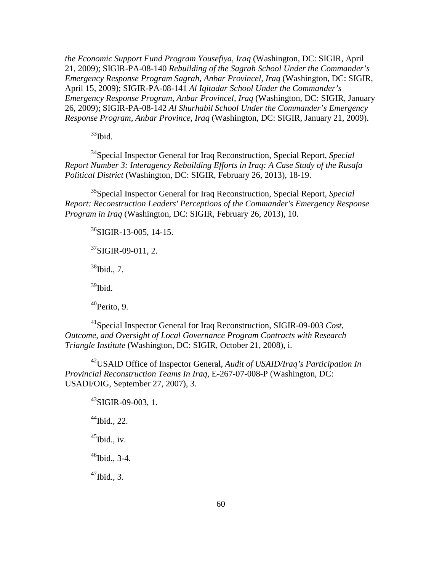*the Economic Support Fund Program Yousefiya, Iraq* (Washington, DC: SIGIR, April 21, 2009); SIGIR-PA-08-140 *Rebuilding of the Sagrah School Under the Commander's Emergency Response Program Sagrah, Anbar Provincel, Iraq* (Washington, DC: SIGIR, April 15, 2009); SIGIR-PA-08-141 *Al Iqitadar School Under the Commander's Emergency Response Program, Anbar Provincel, Iraq* (Washington, DC: SIGIR, January 26, 2009); SIGIR-PA-08-142 *Al Shurhabil School Under the Commander's Emergency Response Program, Anbar Province, Iraq* (Washington, DC: SIGIR, January 21, 2009).

 $33$ Ibid.

34Special Inspector General for Iraq Reconstruction, Special Report, *Special Report Number 3: Interagency Rebuilding Efforts in Iraq: A Case Study of the Rusafa Political District* (Washington, DC: SIGIR, February 26, 2013), 18-19.

35Special Inspector General for Iraq Reconstruction, Special Report, *Special Report: Reconstruction Leaders' Perceptions of the Commander's Emergency Response Program in Iraq* (Washington, DC: SIGIR, February 26, 2013), 10.

 $36$ SIGIR-13-005, 14-15.

 $37$ SIGIR-09-011, 2.

38Ibid., 7.

 $39$ Ibid.

 $40$ Perito, 9.

41Special Inspector General for Iraq Reconstruction, SIGIR-09-003 *[Cost,](http://www.sigir.mil/files/audits/09-003.pdf%23view=fit)  [Outcome, and Oversight of Local Governance Program Contracts with Research](http://www.sigir.mil/files/audits/09-003.pdf%23view=fit)  [Triangle Institute](http://www.sigir.mil/files/audits/09-003.pdf%23view=fit)* (Washington, DC: SIGIR, October 21, 2008), i.

42USAID Office of Inspector General, *Audit of USAID/Iraq's Participation In Provincial Reconstruction Teams In Iraq,* E-267-07-008-P (Washington, DC: USADI/OIG, September 27, 2007), 3.

 $^{43}$ SIGIR-09-003, 1.  $44$ Ibid., 22.  $^{45}$ Ibid., iv.  $46$ Ibid., 3-4.  $47$ Ibid., 3.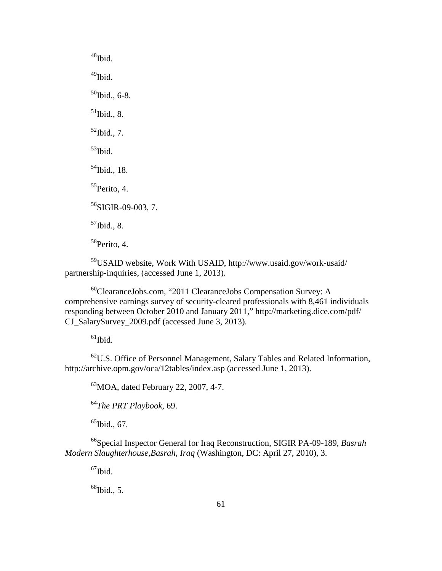$48$ Ibid. <sup>49</sup>Ibid.  $50$ Ibid., 6-8.  $51$ Ibid., 8.  $52$ Ibid., 7.  $53$ Ibid. <sup>54</sup>Ibid., 18.  $55$ Perito, 4.  $56$ SIGIR-09-003, 7.  $<sup>57</sup>$ Ibid., 8.</sup>  $58$ Perito, 4.

59USAID website, Work With USAID, http://www.usaid.gov/work-usaid/ partnership-inquiries, (accessed June 1, 2013).

60ClearanceJobs.com, "2011 ClearanceJobs Compensation Survey: A comprehensive earnings survey of security-cleared professionals with 8,461 individuals responding between October 2010 and January 2011," http://marketing.dice.com/pdf/ CJ\_SalarySurvey\_2009.pdf (accessed June 3, 2013).

 $61$ Ibid.

 $62$ U.S. Office of Personnel Management, Salary Tables and Related Information, http://archive.opm.gov/oca/12tables/index.asp (accessed June 1, 2013).

 $^{63}$ MOA, dated February 22, 2007, 4-7.

<sup>64</sup>*The PRT Playbook*, 69.

 $^{65}$ Ibid., 67.

66Special Inspector General for Iraq Reconstruction, SIGIR PA-09-189, *Basrah Modern Slaughterhouse,Basrah, Iraq* (Washington, DC: April 27, 2010), 3.

 $^{67}$ Ibid.

 $68$ Ibid., 5.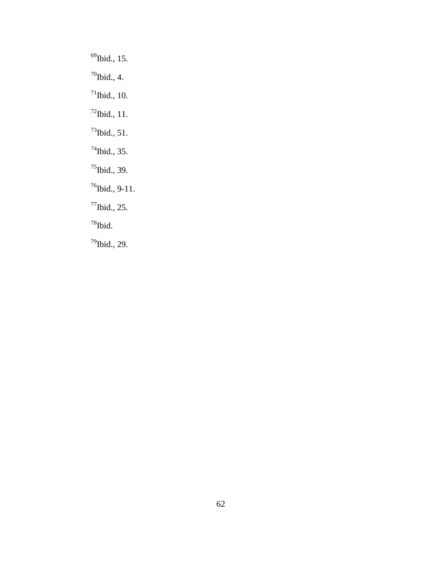$69$ Ibid., 15.  $70$ Ibid., 4.  $71$ Ibid., 10. 72Ibid., 11.  $^{73}$ Ibid., 51.  $^{74}$ Ibid., 35. <sup>75</sup>Ibid., 39.  $76$ Ibid., 9-11. 77Ibid., 25.  $78$ Ibid. 79Ibid., 29.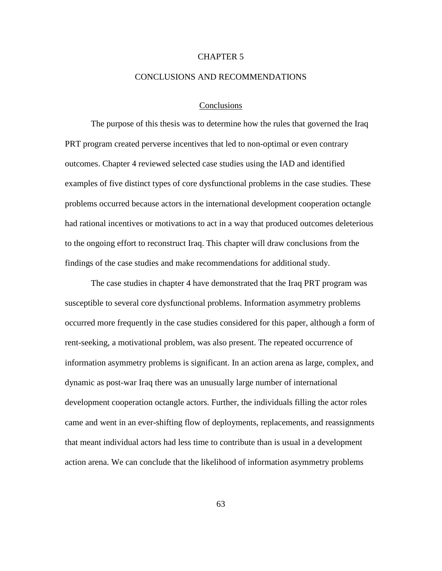# CHAPTER 5

## CONCLUSIONS AND RECOMMENDATIONS

## Conclusions

The purpose of this thesis was to determine how the rules that governed the Iraq PRT program created perverse incentives that led to non-optimal or even contrary outcomes. Chapter 4 reviewed selected case studies using the IAD and identified examples of five distinct types of core dysfunctional problems in the case studies. These problems occurred because actors in the international development cooperation octangle had rational incentives or motivations to act in a way that produced outcomes deleterious to the ongoing effort to reconstruct Iraq. This chapter will draw conclusions from the findings of the case studies and make recommendations for additional study.

The case studies in chapter 4 have demonstrated that the Iraq PRT program was susceptible to several core dysfunctional problems. Information asymmetry problems occurred more frequently in the case studies considered for this paper, although a form of rent-seeking, a motivational problem, was also present. The repeated occurrence of information asymmetry problems is significant. In an action arena as large, complex, and dynamic as post-war Iraq there was an unusually large number of international development cooperation octangle actors. Further, the individuals filling the actor roles came and went in an ever-shifting flow of deployments, replacements, and reassignments that meant individual actors had less time to contribute than is usual in a development action arena. We can conclude that the likelihood of information asymmetry problems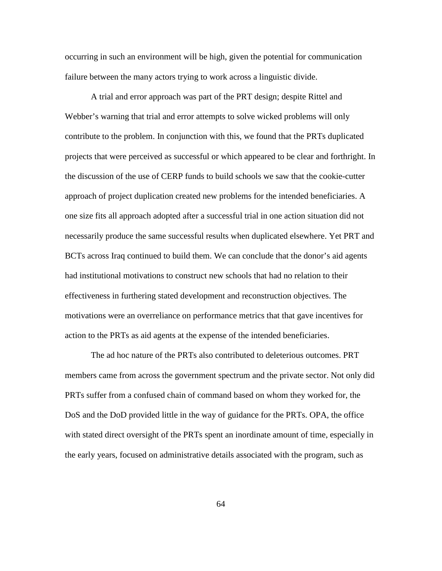occurring in such an environment will be high, given the potential for communication failure between the many actors trying to work across a linguistic divide.

A trial and error approach was part of the PRT design; despite Rittel and Webber's warning that trial and error attempts to solve wicked problems will only contribute to the problem. In conjunction with this, we found that the PRTs duplicated projects that were perceived as successful or which appeared to be clear and forthright. In the discussion of the use of CERP funds to build schools we saw that the cookie-cutter approach of project duplication created new problems for the intended beneficiaries. A one size fits all approach adopted after a successful trial in one action situation did not necessarily produce the same successful results when duplicated elsewhere. Yet PRT and BCTs across Iraq continued to build them. We can conclude that the donor's aid agents had institutional motivations to construct new schools that had no relation to their effectiveness in furthering stated development and reconstruction objectives. The motivations were an overreliance on performance metrics that that gave incentives for action to the PRTs as aid agents at the expense of the intended beneficiaries.

The ad hoc nature of the PRTs also contributed to deleterious outcomes. PRT members came from across the government spectrum and the private sector. Not only did PRTs suffer from a confused chain of command based on whom they worked for, the DoS and the DoD provided little in the way of guidance for the PRTs. OPA, the office with stated direct oversight of the PRTs spent an inordinate amount of time, especially in the early years, focused on administrative details associated with the program, such as

64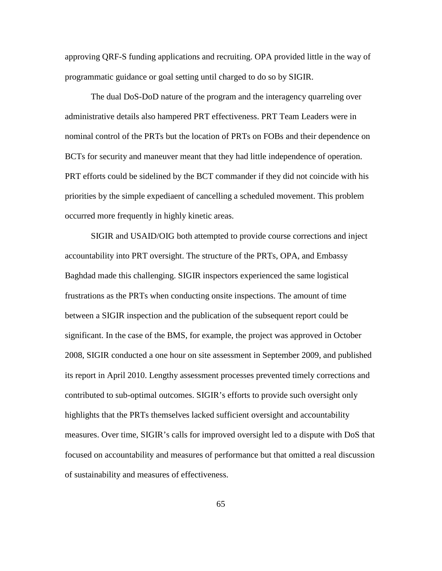approving QRF-S funding applications and recruiting. OPA provided little in the way of programmatic guidance or goal setting until charged to do so by SIGIR.

The dual DoS-DoD nature of the program and the interagency quarreling over administrative details also hampered PRT effectiveness. PRT Team Leaders were in nominal control of the PRTs but the location of PRTs on FOBs and their dependence on BCTs for security and maneuver meant that they had little independence of operation. PRT efforts could be sidelined by the BCT commander if they did not coincide with his priorities by the simple expediaent of cancelling a scheduled movement. This problem occurred more frequently in highly kinetic areas.

SIGIR and USAID/OIG both attempted to provide course corrections and inject accountability into PRT oversight. The structure of the PRTs, OPA, and Embassy Baghdad made this challenging. SIGIR inspectors experienced the same logistical frustrations as the PRTs when conducting onsite inspections. The amount of time between a SIGIR inspection and the publication of the subsequent report could be significant. In the case of the BMS, for example, the project was approved in October 2008, SIGIR conducted a one hour on site assessment in September 2009, and published its report in April 2010. Lengthy assessment processes prevented timely corrections and contributed to sub-optimal outcomes. SIGIR's efforts to provide such oversight only highlights that the PRTs themselves lacked sufficient oversight and accountability measures. Over time, SIGIR's calls for improved oversight led to a dispute with DoS that focused on accountability and measures of performance but that omitted a real discussion of sustainability and measures of effectiveness.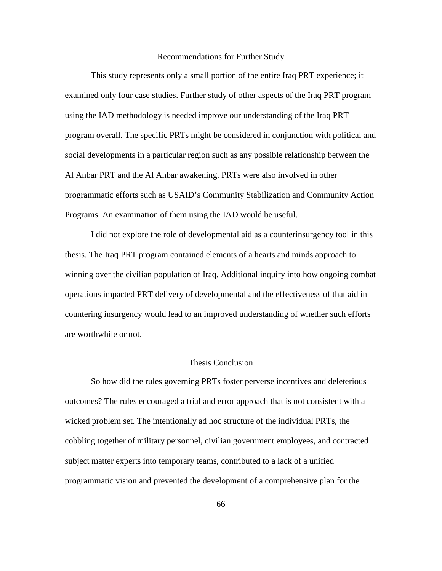### Recommendations for Further Study

This study represents only a small portion of the entire Iraq PRT experience; it examined only four case studies. Further study of other aspects of the Iraq PRT program using the IAD methodology is needed improve our understanding of the Iraq PRT program overall. The specific PRTs might be considered in conjunction with political and social developments in a particular region such as any possible relationship between the Al Anbar PRT and the Al Anbar awakening. PRTs were also involved in other programmatic efforts such as USAID's Community Stabilization and Community Action Programs. An examination of them using the IAD would be useful.

I did not explore the role of developmental aid as a counterinsurgency tool in this thesis. The Iraq PRT program contained elements of a hearts and minds approach to winning over the civilian population of Iraq. Additional inquiry into how ongoing combat operations impacted PRT delivery of developmental and the effectiveness of that aid in countering insurgency would lead to an improved understanding of whether such efforts are worthwhile or not.

# Thesis Conclusion

So how did the rules governing PRTs foster perverse incentives and deleterious outcomes? The rules encouraged a trial and error approach that is not consistent with a wicked problem set. The intentionally ad hoc structure of the individual PRTs, the cobbling together of military personnel, civilian government employees, and contracted subject matter experts into temporary teams, contributed to a lack of a unified programmatic vision and prevented the development of a comprehensive plan for the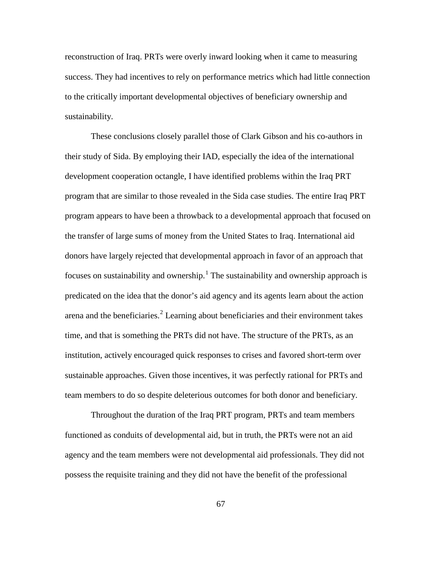reconstruction of Iraq. PRTs were overly inward looking when it came to measuring success. They had incentives to rely on performance metrics which had little connection to the critically important developmental objectives of beneficiary ownership and sustainability.

These conclusions closely parallel those of Clark Gibson and his co-authors in their study of Sida. By employing their IAD, especially the idea of the international development cooperation octangle, I have identified problems within the Iraq PRT program that are similar to those revealed in the Sida case studies. The entire Iraq PRT program appears to have been a throwback to a developmental approach that focused on the transfer of large sums of money from the United States to Iraq. International aid donors have largely rejected that developmental approach in favor of an approach that focuses on sustainability and ownership.<sup>[1](#page-77-0)</sup> The sustainability and ownership approach is predicated on the idea that the donor's aid agency and its agents learn about the action arena and the beneficiaries.<sup>[2](#page-77-1)</sup> Learning about beneficiaries and their environment takes time, and that is something the PRTs did not have. The structure of the PRTs, as an institution, actively encouraged quick responses to crises and favored short-term over sustainable approaches. Given those incentives, it was perfectly rational for PRTs and team members to do so despite deleterious outcomes for both donor and beneficiary.

Throughout the duration of the Iraq PRT program, PRTs and team members functioned as conduits of developmental aid, but in truth, the PRTs were not an aid agency and the team members were not developmental aid professionals. They did not possess the requisite training and they did not have the benefit of the professional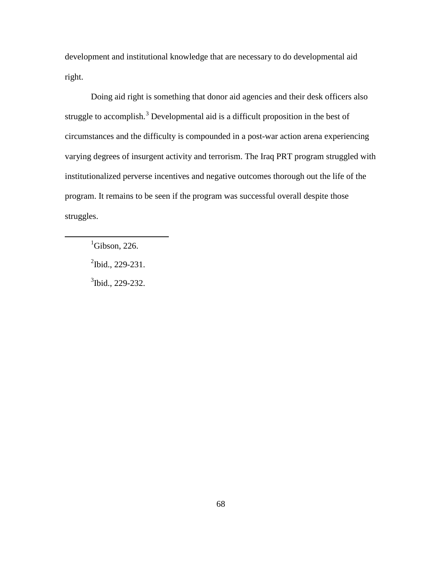development and institutional knowledge that are necessary to do developmental aid right.

Doing aid right is something that donor aid agencies and their desk officers also struggle to accomplish.<sup>[3](#page-77-2)</sup> Developmental aid is a difficult proposition in the best of circumstances and the difficulty is compounded in a post-war action arena experiencing varying degrees of insurgent activity and terrorism. The Iraq PRT program struggled with institutionalized perverse incentives and negative outcomes thorough out the life of the program. It remains to be seen if the program was successful overall despite those struggles.

 ${}^{1}$ Gibson, 226.

<span id="page-77-2"></span><span id="page-77-1"></span><span id="page-77-0"></span> $\overline{a}$ 

 $2$ Ibid., 229-231.

 $3$ Ibid., 229-232.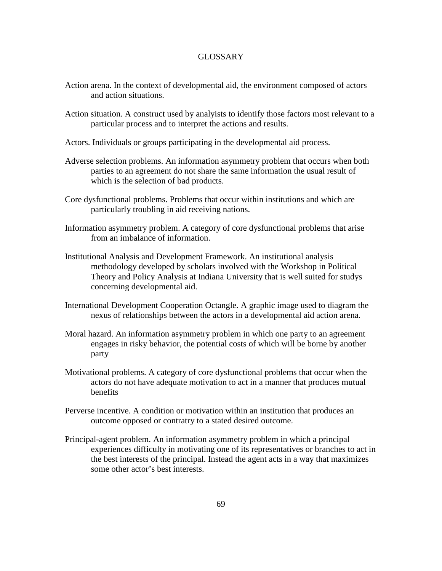# GLOSSARY

- Action arena. In the context of developmental aid, the environment composed of actors and action situations.
- Action situation. A construct used by analyists to identify those factors most relevant to a particular process and to interpret the actions and results.
- Actors. Individuals or groups participating in the developmental aid process.
- Adverse selection problems. An information asymmetry problem that occurs when both parties to an agreement do not share the same information the usual result of which is the selection of bad products.
- Core dysfunctional problems. Problems that occur within institutions and which are particularly troubling in aid receiving nations.
- Information asymmetry problem. A category of core dysfunctional problems that arise from an imbalance of information.
- Institutional Analysis and Development Framework. An institutional analysis methodology developed by scholars involved with the Workshop in Political Theory and Policy Analysis at Indiana University that is well suited for studys concerning developmental aid.
- International Development Cooperation Octangle. A graphic image used to diagram the nexus of relationships between the actors in a developmental aid action arena.
- Moral hazard. An information asymmetry problem in which one party to an agreement engages in risky behavior, the potential costs of which will be borne by another party
- Motivational problems. A category of core dysfunctional problems that occur when the actors do not have adequate motivation to act in a manner that produces mutual benefits
- Perverse incentive. A condition or motivation within an institution that produces an outcome opposed or contratry to a stated desired outcome.
- Principal-agent problem. An information asymmetry problem in which a principal experiences difficulty in motivating one of its representatives or branches to act in the best interests of the principal. Instead the agent acts in a way that maximizes some other actor's best interests.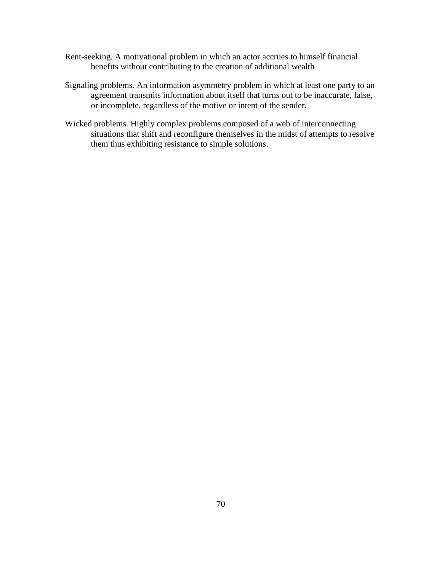- Rent-seeking. A motivational problem in which an actor accrues to himself financial benefits without contributing to the creation of additional wealth
- Signaling problems. An information asymmetry problem in which at least one party to an agreement transmits information about itself that turns out to be inaccurate, false, or incomplete, regardless of the motive or intent of the sender.
- Wicked problems. Highly complex problems composed of a web of interconnecting situations that shift and reconfigure themselves in the midst of attempts to resolve them thus exhibiting resistance to simple solutions.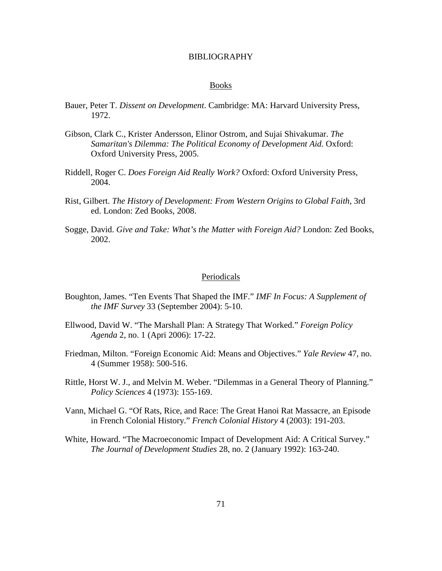### BIBLIOGRAPHY

#### Books

- Bauer, Peter T. *Dissent on Development*. Cambridge: MA: Harvard University Press, 1972.
- Gibson, Clark C., Krister Andersson, Elinor Ostrom, and Sujai Shivakumar. *The Samaritan's Dilemma: The Political Economy of Development Aid.* Oxford: Oxford University Press, 2005.
- Riddell, Roger C. *Does Foreign Aid Really Work?* Oxford: Oxford University Press, 2004.
- Rist, Gilbert. *The History of Development: From Western Origins to Global Faith*, 3rd ed. London: Zed Books, 2008.
- Sogge, David. *Give and Take: What's the Matter with Foreign Aid?* London: Zed Books, 2002.

#### **Periodicals**

- Boughton, James. "Ten Events That Shaped the IMF." *IMF In Focus: A Supplement of the IMF Survey* 33 (September 2004): 5-10.
- Ellwood, David W. "The Marshall Plan: A Strategy That Worked." *Foreign Policy Agenda* 2, no. 1 (Apri 2006): 17-22.
- Friedman, Milton. "Foreign Economic Aid: Means and Objectives." *Yale Review* 47, no. 4 (Summer 1958): 500-516.
- Rittle, Horst W. J., and Melvin M. Weber. "Dilemmas in a General Theory of Planning." *Policy Sciences* 4 (1973): 155-169.
- Vann, Michael G. "Of Rats, Rice, and Race: The Great Hanoi Rat Massacre, an Episode in French Colonial History." *French Colonial History* 4 (2003): 191-203.
- White, Howard. "The Macroeconomic Impact of Development Aid: A Critical Survey." *The Journal of Development Studies* 28, no. 2 (January 1992): 163-240.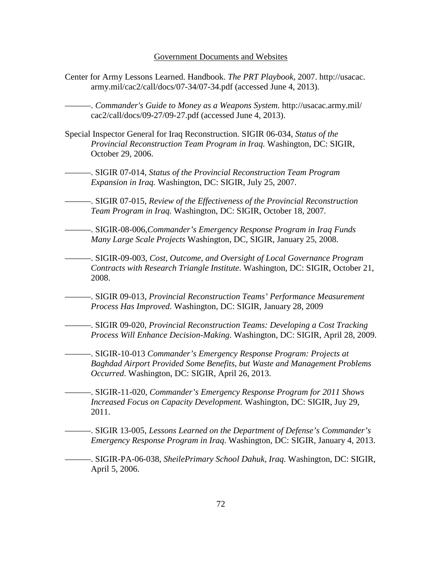#### Government Documents and Websites

Center for Army Lessons Learned. Handbook. *The PRT Playbook,* 2007. http://usacac. army.mil/cac2/call/docs/07-34/07-34.pdf (accessed June 4, 2013).

———. *Commander's Guide to Money as a Weapons System.* http://usacac.army.mil/ cac2/call/docs/09-27/09-27.pdf (accessed June 4, 2013).

- Special Inspector General for Iraq Reconstruction. SIGIR 06-034, *Status of the Provincial Reconstruction Team Program in Iraq.* Washington, DC: SIGIR, October 29, 2006.
	- ———. SIGIR 07-014, *Status of the Provincial Reconstruction Team Program Expansion in Iraq.* Washington, DC: SIGIR, July 25, 2007.
		- ———. SIGIR 07-015, *Review of the Effectiveness of the Provincial Reconstruction Team Program in Iraq.* Washington, DC: SIGIR, October 18, 2007.
- ———. SIGIR-08-006,*Commander's Emergency Response Program in Iraq Funds Many Large Scale Projects* Washington, DC, SIGIR, January 25, 2008.
- ———. SIGIR-09-003, *[Cost, Outcome, and Oversight of Local Governance Program](http://www.sigir.mil/files/audits/09-003.pdf%23view=fit)  [Contracts with Research Triangle Institute](http://www.sigir.mil/files/audits/09-003.pdf%23view=fit)*. Washington, DC: SIGIR, October 21, 2008.
- ———. SIGIR 09-013, *Provincial Reconstruction Teams' Performance Measurement Process Has Improved*. Washington, DC: SIGIR, January 28, 2009
- ———. SIGIR 09-020, *Provincial Reconstruction Teams: Developing a Cost Tracking Process Will Enhance Decision-Making*. Washington, DC: SIGIR, April 28, 2009.
	- ———. SIGIR-10-013 *Commander's Emergency Response Program: Projects at Baghdad Airport Provided Some Benefits, but Waste and Management Problems Occurred*. Washington, DC: SIGIR, April 26, 2013.
- ———. SIGIR-11-020, *Commander's Emergency Response Program for 2011 Shows Increased Focus on Capacity Development.* Washington, DC: SIGIR, Juy 29, 2011.
	- ———. SIGIR 13-005, *Lessons Learned on the Department of Defense's Commander's Emergency Response Program in Iraq*. Washington, DC: SIGIR, January 4, 2013.
- ———. SIGIR-PA-06-038, *SheilePrimary School Dahuk, Iraq.* Washington, DC: SIGIR, April 5, 2006.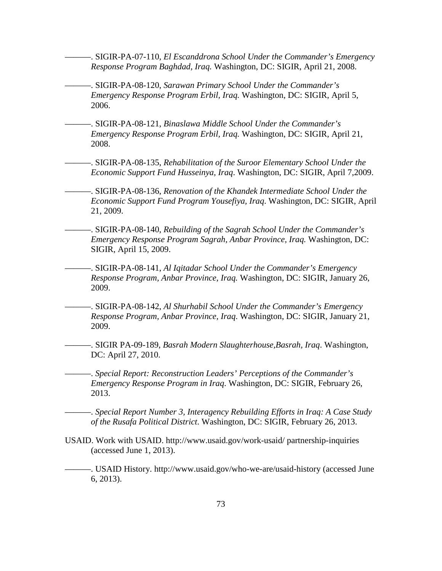- ———. SIGIR-PA-07-110, *El Escanddrona School Under the Commander's Emergency Response Program Baghdad, Iraq.* Washington, DC: SIGIR, April 21, 2008.
- ———. SIGIR-PA-08-120, *Sarawan Primary School Under the Commander's Emergency Response Program Erbil, Iraq.* Washington, DC: SIGIR, April 5, 2006.
- ———. SIGIR-PA-08-121, *Binaslawa Middle School Under the Commander's Emergency Response Program Erbil, Iraq.* Washington, DC: SIGIR, April 21, 2008.
- ———. SIGIR-PA-08-135, *Rehabilitation of the Suroor Elementary School Under the Economic Support Fund Husseinya, Iraq*. Washington, DC: SIGIR, April 7,2009.
- ———. SIGIR-PA-08-136, *Renovation of the Khandek Intermediate School Under the Economic Support Fund Program Yousefiya, Iraq*. Washington, DC: SIGIR, April 21, 2009.
- ———. SIGIR-PA-08-140, *Rebuilding of the Sagrah School Under the Commander's Emergency Response Program Sagrah, Anbar Province, Iraq.* Washington, DC: SIGIR, April 15, 2009.

———. SIGIR-PA-08-141, *Al Iqitadar School Under the Commander's Emergency Response Program, Anbar Province, Iraq.* Washington, DC: SIGIR, January 26, 2009.

- ———. SIGIR-PA-08-142, *Al Shurhabil School Under the Commander's Emergency Response Program, Anbar Province, Iraq*. Washington, DC: SIGIR, January 21, 2009.
- ———. SIGIR PA-09-189, *Basrah Modern Slaughterhouse,Basrah, Iraq*. Washington, DC: April 27, 2010.

———. *Special Report: Reconstruction Leaders' Perceptions of the Commander's Emergency Response Program in Iraq*. Washington, DC: SIGIR, February 26, 2013.

———. *Special Report Number 3, Interagency Rebuilding Efforts in Iraq: A Case Study of the Rusafa Political District*. Washington, DC: SIGIR, February 26, 2013.

- USAID. Work with USAID. http://www.usaid.gov/work-usaid/ partnership-inquiries (accessed June 1, 2013).
- ———. USAID History. http://www.usaid.gov/who-we-are/usaid-history (accessed June 6, 2013).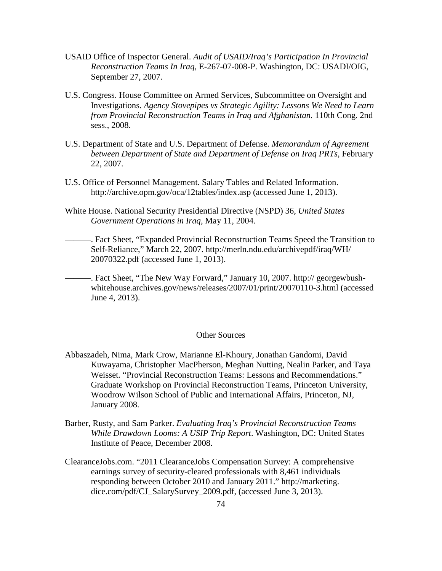- USAID Office of Inspector General. *Audit of USAID/Iraq's Participation In Provincial Reconstruction Teams In Iraq,* E-267-07-008-P. Washington, DC: USADI/OIG, September 27, 2007.
- U.S. Congress. House Committee on Armed Services, Subcommittee on Oversight and Investigations. *Agency Stovepipes vs Strategic Agility: Lessons We Need to Learn from Provincial Reconstruction Teams in Iraq and Afghanistan.* 110th Cong. 2nd sess., 2008.
- U.S. Department of State and U.S. Department of Defense. *Memorandum of Agreement between Department of State and Department of Defense on Iraq PRTs*, February 22, 2007.
- U.S. Office of Personnel Management. Salary Tables and Related Information. http://archive.opm.gov/oca/12tables/index.asp (accessed June 1, 2013).
- White House. National Security Presidential Directive (NSPD) 36, *United States Government Operations in Iraq*, May 11, 2004.
- ———. Fact Sheet, "Expanded Provincial Reconstruction Teams Speed the Transition to Self-Reliance," March 22, 2007. http://merln.ndu.edu/archivepdf/iraq/WH/ 20070322.pdf (accessed June 1, 2013).
- -. Fact Sheet, "The New Way Forward," January 10, 2007. http:// georgewbushwhitehouse.archives.gov/news/releases/2007/01/print/20070110-3.html (accessed June 4, 2013).

### Other Sources

- Abbaszadeh, Nima, Mark Crow, Marianne El-Khoury, Jonathan Gandomi, David Kuwayama, Christopher MacPherson, Meghan Nutting, Nealin Parker, and Taya Weisset. "Provincial Reconstruction Teams: Lessons and Recommendations." Graduate Workshop on Provincial Reconstruction Teams, Princeton University, Woodrow Wilson School of Public and International Affairs, Princeton, NJ, January 2008.
- Barber, Rusty, and Sam Parker. *Evaluating Iraq's Provincial Reconstruction Teams While Drawdown Looms: A USIP Trip Report*. Washington, DC: United States Institute of Peace, December 2008.
- ClearanceJobs.com. "2011 ClearanceJobs Compensation Survey: A comprehensive earnings survey of security-cleared professionals with 8,461 individuals responding between October 2010 and January 2011." http://marketing. dice.com/pdf/CJ\_SalarySurvey\_2009.pdf, (accessed June 3, 2013).